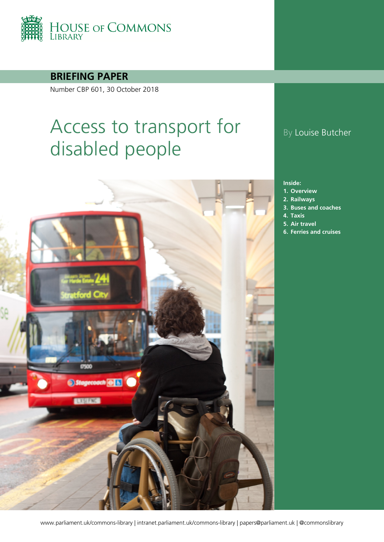

**BRIEFING PAPER**

Number CBP 601, 30 October 2018

# Access to transport for disabled people



## By Louise Butcher

#### **Inside:**

- **1. [Overview](#page-3-0)**
- **2. [Railways](#page-10-0)**
- **3. [Buses and coaches](#page-24-0)**
- **4. [Taxis](#page-30-0)**
- **5. [Air travel](#page-34-0)**
- **6. [Ferries and cruises](#page-37-0)**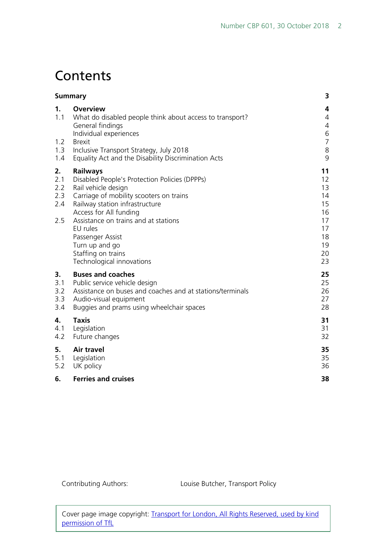## **Contents**

| <b>Summary</b>                             |                                                                                                                                                                                                                                                                                                                                             | 3                                                                    |
|--------------------------------------------|---------------------------------------------------------------------------------------------------------------------------------------------------------------------------------------------------------------------------------------------------------------------------------------------------------------------------------------------|----------------------------------------------------------------------|
| $\mathbf{1}$ .<br>1.1<br>1.2<br>1.3<br>1.4 | <b>Overview</b><br>What do disabled people think about access to transport?<br>General findings<br>Individual experiences<br><b>Brexit</b><br>Inclusive Transport Strategy, July 2018<br>Equality Act and the Disability Discrimination Acts                                                                                                | 4<br>4<br>4<br>6<br>$\overline{7}$<br>8<br>9                         |
| 2.<br>2.1<br>2.2<br>2.3<br>2.4<br>2.5      | <b>Railways</b><br>Disabled People's Protection Policies (DPPPs)<br>Rail vehicle design<br>Carriage of mobility scooters on trains<br>Railway station infrastructure<br>Access for All funding<br>Assistance on trains and at stations<br>EU rules<br>Passenger Assist<br>Turn up and go<br>Staffing on trains<br>Technological innovations | 11<br>12<br>13<br>14<br>15<br>16<br>17<br>17<br>18<br>19<br>20<br>23 |
| 3.<br>3.1<br>3.2<br>3.3<br>3.4             | <b>Buses and coaches</b><br>Public service vehicle design<br>Assistance on buses and coaches and at stations/terminals<br>Audio-visual equipment<br>Buggies and prams using wheelchair spaces                                                                                                                                               | 25<br>25<br>26<br>27<br>28                                           |
| 4.<br>4.1<br>4.2                           | <b>Taxis</b><br>Legislation<br>Future changes                                                                                                                                                                                                                                                                                               | 31<br>31<br>32                                                       |
| 5.<br>5.1<br>5.2                           | <b>Air travel</b><br>Legislation<br>UK policy                                                                                                                                                                                                                                                                                               | 35<br>35<br>36                                                       |
| 6.                                         | <b>Ferries and cruises</b>                                                                                                                                                                                                                                                                                                                  | 38                                                                   |

Contributing Authors: Louise Butcher, Transport Policy

Cover page image copyright: [Transport for London, All Rights Reserved, used by kind](https://www.flickr.com/photos/tflpress/7677590364/in/album-72157630822965314/)  [permission of TfL](https://www.flickr.com/photos/tflpress/7677590364/in/album-72157630822965314/)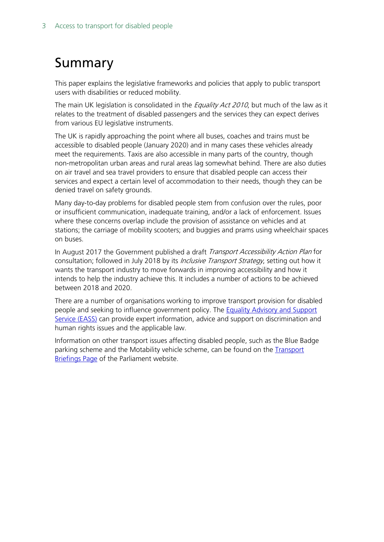## <span id="page-2-0"></span>Summary

This paper explains the legislative frameworks and policies that apply to public transport users with disabilities or reduced mobility.

The main UK legislation is consolidated in the *Equality Act 2010*, but much of the law as it relates to the treatment of disabled passengers and the services they can expect derives from various EU legislative instruments.

The UK is rapidly approaching the point where all buses, coaches and trains must be accessible to disabled people (January 2020) and in many cases these vehicles already meet the requirements. Taxis are also accessible in many parts of the country, though non-metropolitan urban areas and rural areas lag somewhat behind. There are also duties on air travel and sea travel providers to ensure that disabled people can access their services and expect a certain level of accommodation to their needs, though they can be denied travel on safety grounds.

Many day-to-day problems for disabled people stem from confusion over the rules, poor or insufficient communication, inadequate training, and/or a lack of enforcement. Issues where these concerns overlap include the provision of assistance on vehicles and at stations; the carriage of mobility scooters; and buggies and prams using wheelchair spaces on buses.

In August 2017 the Government published a draft Transport Accessibility Action Plan for consultation; followed in July 2018 by its *Inclusive Transport Strategy*, setting out how it wants the transport industry to move forwards in improving accessibility and how it intends to help the industry achieve this. It includes a number of actions to be achieved between 2018 and 2020.

There are a number of organisations working to improve transport provision for disabled people and seeking to influence government policy. The **Equality Advisory and Support** [Service \(EASS\)](http://www.equalityhumanrights.com/about-us/about-commission/contact-us) can provide expert information, advice and support on discrimination and human rights issues and the applicable law.

Information on other transport issues affecting disabled people, such as the Blue Badge parking scheme and the Motability vehicle scheme, can be found on the [Transport](http://researchbriefings.parliament.uk/?ContentType=&Topic=Transport&SubTopic=&Year=&SortByAscending=false)  [Briefings Page](http://researchbriefings.parliament.uk/?ContentType=&Topic=Transport&SubTopic=&Year=&SortByAscending=false) of the Parliament website.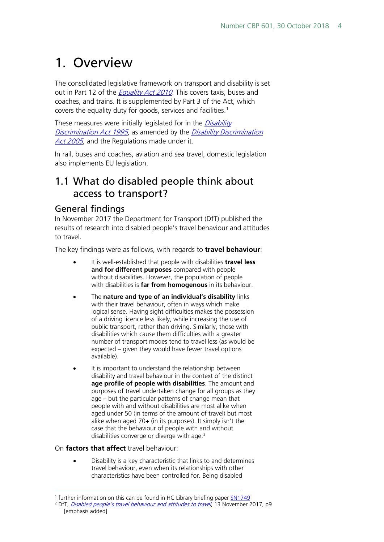## <span id="page-3-0"></span>1. Overview

The consolidated legislative framework on transport and disability is set out in Part 12 of the *[Equality Act 2010](http://www.legislation.gov.uk/ukpga/2010/15/contents)*. This covers taxis, buses and coaches, and trains. It is supplemented by Part 3 of the Act, which covers the equality duty for goods, services and facilities. [1](#page-3-3)

These measures were initially legislated for in the *Disability* [Discrimination Act 1995](http://www.legislation.gov.uk/ukpga/1995/50/contents), as amended by the [Disability Discrimination](http://www.legislation.gov.uk/ukpga/2005/13/contents)  [Act 2005](http://www.legislation.gov.uk/ukpga/2005/13/contents), and the Regulations made under it.

In rail, buses and coaches, aviation and sea travel, domestic legislation also implements EU legislation.

### <span id="page-3-1"></span>1.1 What do disabled people think about access to transport?

#### <span id="page-3-2"></span>General findings

In November 2017 the Department for Transport (DfT) published the results of research into disabled people's travel behaviour and attitudes to travel.

The key findings were as follows, with regards to **travel behaviour**:

- It is well-established that people with disabilities **travel less and for different purposes** compared with people without disabilities. However, the population of people with disabilities is **far from homogenous** in its behaviour.
- The **nature and type of an individual's disability** links with their travel behaviour, often in ways which make logical sense. Having sight difficulties makes the possession of a driving licence less likely, while increasing the use of public transport, rather than driving. Similarly, those with disabilities which cause them difficulties with a greater number of transport modes tend to travel less (as would be expected – given they would have fewer travel options available).
- It is important to understand the relationship between disability and travel behaviour in the context of the distinct **age profile of people with disabilities**. The amount and purposes of travel undertaken change for all groups as they age – but the particular patterns of change mean that people with and without disabilities are most alike when aged under 50 (in terms of the amount of travel) but most alike when aged 70+ (in its purposes). It simply isn't the case that the behaviour of people with and without disabilities converge or diverge with age.<sup>[2](#page-3-4)</sup>

On **factors that affect** travel behaviour:

• Disability is a key characteristic that links to and determines travel behaviour, even when its relationships with other characteristics have been controlled for. Being disabled

<span id="page-3-3"></span><sup>&</sup>lt;sup>1</sup> further information on this can be found in HC Library briefing pape[r SN1749](http://researchbriefings.parliament.uk/ResearchBriefing/Summary/SN01749)

<span id="page-3-4"></span><sup>&</sup>lt;sup>2</sup> DfT, *[Disabled people's travel behaviour and attitudes to travel](https://www.gov.uk/government/uploads/system/uploads/attachment_data/file/647703/disabled-peoples-travel-behaviour-and-attitudes-to-travel.pdf)*, 13 November 2017, p9 [emphasis added]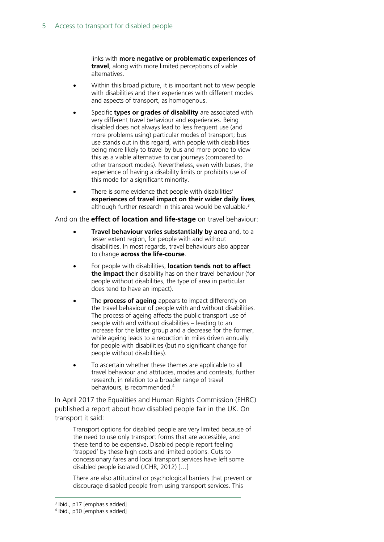links with **more negative or problematic experiences of travel**, along with more limited perceptions of viable alternatives.

- Within this broad picture, it is important not to view people with disabilities and their experiences with different modes and aspects of transport, as homogenous.
- Specific **types or grades of disability** are associated with very different travel behaviour and experiences. Being disabled does not always lead to less frequent use (and more problems using) particular modes of transport; bus use stands out in this regard, with people with disabilities being more likely to travel by bus and more prone to view this as a viable alternative to car journeys (compared to other transport modes). Nevertheless, even with buses, the experience of having a disability limits or prohibits use of this mode for a significant minority.
- There is some evidence that people with disabilities' **experiences of travel impact on their wider daily lives**, although further research in this area would be valuable.<sup>[3](#page-4-0)</sup>

And on the **effect of location and life-stage** on travel behaviour:

- **Travel behaviour varies substantially by area** and, to a lesser extent region, for people with and without disabilities. In most regards, travel behaviours also appear to change **across the life-course**.
- For people with disabilities, **location tends not to affect the impact** their disability has on their travel behaviour (for people without disabilities, the type of area in particular does tend to have an impact).
- The **process of ageing** appears to impact differently on the travel behaviour of people with and without disabilities. The process of ageing affects the public transport use of people with and without disabilities – leading to an increase for the latter group and a decrease for the former, while ageing leads to a reduction in miles driven annually for people with disabilities (but no significant change for people without disabilities).
- To ascertain whether these themes are applicable to all travel behaviour and attitudes, modes and contexts, further research, in relation to a broader range of travel behaviours, is recommended.[4](#page-4-1)

In April 2017 the Equalities and Human Rights Commission (EHRC) published a report about how disabled people fair in the UK. On transport it said:

Transport options for disabled people are very limited because of the need to use only transport forms that are accessible, and these tend to be expensive. Disabled people report feeling 'trapped' by these high costs and limited options. Cuts to concessionary fares and local transport services have left some disabled people isolated (JCHR, 2012) […]

There are also attitudinal or psychological barriers that prevent or discourage disabled people from using transport services. This

<sup>&</sup>lt;sup>3</sup> Ibid., p17 [emphasis added]

<span id="page-4-1"></span><span id="page-4-0"></span><sup>4</sup> Ibid., p30 [emphasis added]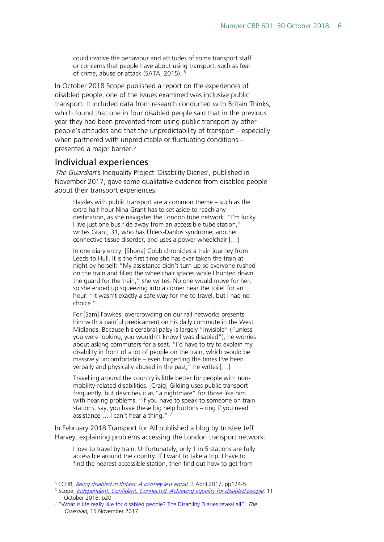could involve the behaviour and attitudes of some transport staff or concerns that people have about using transport, such as fear of crime, abuse or attack (SATA, 2015). [5](#page-5-1)

In October 2018 Scope published a report on the experiences of disabled people, one of the issues examined was inclusive public transport. It included data from research conducted with Britain Thinks, which found that one in four disabled people said that in the previous year they had been prevented from using public transport by other people's attitudes and that the unpredictability of transport – especially when partnered with unpredictable or fluctuating conditions – presented a major barrier.<sup>[6](#page-5-2)</sup>

#### <span id="page-5-0"></span>Individual experiences

The Guardian's Inequality Project 'Disability Diaries', published in November 2017, gave some qualitative evidence from disabled people about their transport experiences:

Hassles with public transport are a common theme – such as the extra half-hour Nina Grant has to set aside to reach any destination, as she navigates the London tube network. "I'm lucky I live just one bus ride away from an accessible tube station," writes Grant, 31, who has Ehlers-Danlos syndrome, another connective tissue disorder, and uses a power wheelchair […]

In one diary entry, [Shona] Cobb chronicles a train journey from Leeds to Hull. It is the first time she has ever taken the train at night by herself: "My assistance didn't turn up so everyone rushed on the train and filled the wheelchair spaces while I hunted down the guard for the train," she writes. No one would move for her, so she ended up squeezing into a corner near the toilet for an hour: "It wasn't exactly a safe way for me to travel, but I had no choice."

For [Sam] Fowkes, overcrowding on our rail networks presents him with a painful predicament on his daily commute in the West Midlands. Because his cerebral palsy is largely "invisible" ("unless you were looking, you wouldn't know I was disabled"), he worries about asking commuters for a seat. "I'd have to try to explain my disability in front of a lot of people on the train, which would be massively uncomfortable – even forgetting the times I've been verbally and physically abused in the past," he writes […]

Travelling around the country is little better for people with nonmobility-related disabilities. [Craig] Gilding uses public transport frequently, but describes it as "a nightmare" for those like him with hearing problems. "If you have to speak to someone on train stations, say, you have these big help buttons – ring if you need assistance ... I can't hear a thing."<sup>[7](#page-5-3)</sup>

In February 2018 Transport for All published a blog by trustee Jeff Harvey, explaining problems accessing the London transport network:

I love to travel by train. Unfortunately, only 1 in 5 stations are fully accessible around the country. If I want to take a trip, I have to find the nearest accessible station, then find out how to get from

<span id="page-5-1"></span><sup>&</sup>lt;sup>5</sup> ECHR, *[Being disabled in Britain: A journey less equal](https://www.equalityhumanrights.com/sites/default/files/being-disabled-in-britain.pdf)*, 3 April 2017, pp124-5

<span id="page-5-2"></span><sup>&</sup>lt;sup>6</sup> Scope, *[Independent. Confident. Connected. Achieving equality for disabled people](http://www.scope.org.uk/Scope/media/Documents/Publication%20Directory/Independent-Confident-Connected.pdf?ext=.pdf)*, 11 October 2018, p20

<span id="page-5-3"></span><sup>&</sup>lt;sup>7</sup> ["What is life really like for disabled people? The Disability Diaries reveal all"](https://www.theguardian.com/inequality/2017/nov/15/whats-life-really-like-for-disabled-peopld-disability-diaries-reveal-all?CMP=share_btn_tw), The Guardian, 15 November 2017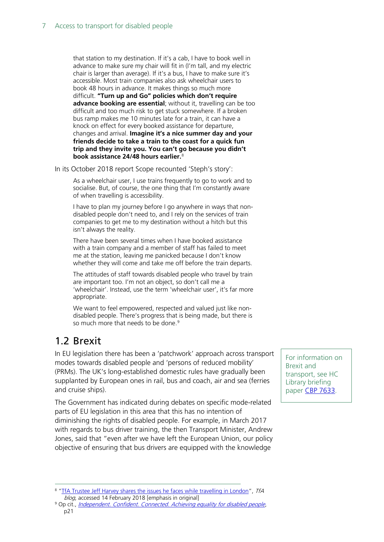that station to my destination. If it's a cab, I have to book well in advance to make sure my chair will fit in (I'm tall, and my electric chair is larger than average). If it's a bus, I have to make sure it's accessible. Most train companies also ask wheelchair users to book 48 hours in advance. It makes things so much more difficult. **"Turn up and Go" policies which don't require advance booking are essential**; without it, travelling can be too difficult and too much risk to get stuck somewhere. If a broken bus ramp makes me 10 minutes late for a train, it can have a knock on effect for every booked assistance for departure, changes and arrival. **Imagine it's a nice summer day and your friends decide to take a train to the coast for a quick fun trip and they invite you. You can't go because you didn't book assistance 24/48 hours earlier.**[8](#page-6-1)

In its October 2018 report Scope recounted 'Steph's story':

As a wheelchair user, I use trains frequently to go to work and to socialise. But, of course, the one thing that I'm constantly aware of when travelling is accessibility.

I have to plan my journey before I go anywhere in ways that nondisabled people don't need to, and I rely on the services of train companies to get me to my destination without a hitch but this isn't always the reality.

There have been several times when I have booked assistance with a train company and a member of staff has failed to meet me at the station, leaving me panicked because I don't know whether they will come and take me off before the train departs.

The attitudes of staff towards disabled people who travel by train are important too. I'm not an object, so don't call me a 'wheelchair'. Instead, use the term 'wheelchair user', it's far more appropriate.

We want to feel empowered, respected and valued just like nondisabled people. There's progress that is being made, but there is so much more that needs to be done.<sup>[9](#page-6-2)</sup>

## <span id="page-6-0"></span>1.2 Brexit

In EU legislation there has been a 'patchwork' approach across transport modes towards disabled people and 'persons of reduced mobility' (PRMs). The UK's long-established domestic rules have gradually been supplanted by European ones in rail, bus and coach, air and sea (ferries and cruise ships).

The Government has indicated during debates on specific mode-related parts of EU legislation in this area that this has no intention of diminishing the rights of disabled people. For example, in March 2017 with regards to bus driver training, the then Transport Minister, Andrew Jones, said that "even after we have left the European Union, our policy objective of ensuring that bus drivers are equipped with the knowledge

For information on Brexit and transport, see HC Library briefing paper [CBP 7633.](https://researchbriefings.parliament.uk/ResearchBriefing/Summary/CBP-7633)

<span id="page-6-1"></span><sup>&</sup>lt;sup>8</sup> ["TfA Trustee Jeff Harvey shares the issues he faces while travelling in London"](http://www.transportforall.org.uk/about/blog/tfa-trustee-jeff-harvey-shares-the-issues-he-faces-while-travelling-in-london), TfA blog, accessed 14 February 2018 [emphasis in original]

<span id="page-6-2"></span><sup>&</sup>lt;sup>9</sup> Op cit., *[Independent. Confident. Connected. Achieving equality for disabled people](http://www.scope.org.uk/Scope/media/Documents/Publication%20Directory/Independent-Confident-Connected.pdf?ext=.pdf),* p21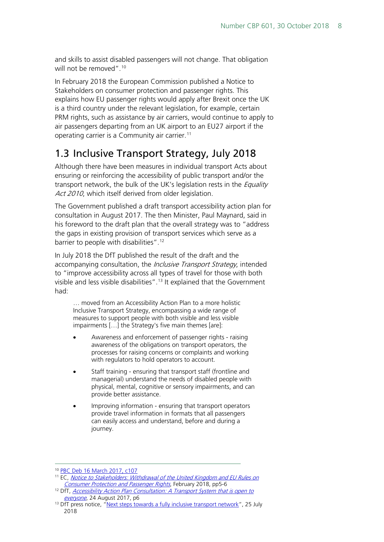and skills to assist disabled passengers will not change. That obligation will not be removed".<sup>[10](#page-7-1)</sup>

In February 2018 the European Commission published a Notice to Stakeholders on consumer protection and passenger rights. This explains how EU passenger rights would apply after Brexit once the UK is a third country under the relevant legislation, for example, certain PRM rights, such as assistance by air carriers, would continue to apply to air passengers departing from an UK airport to an EU27 airport if the operating carrier is a Community air carrier.<sup>[11](#page-7-2)</sup>

## <span id="page-7-0"></span>1.3 Inclusive Transport Strategy, July 2018

Although there have been measures in individual transport Acts about ensuring or reinforcing the accessibility of public transport and/or the transport network, the bulk of the UK's legislation rests in the *Equality* Act 2010, which itself derived from older legislation.

The Government published a draft transport accessibility action plan for consultation in August 2017. The then Minister, Paul Maynard, said in his foreword to the draft plan that the overall strategy was to "address the gaps in existing provision of transport services which serve as a barrier to people with disabilities". [12](#page-7-3)

In July 2018 the DfT published the result of the draft and the accompanying consultation, the *Inclusive Transport Strategy*, intended to "improve accessibility across all types of travel for those with both visible and less visible disabilities".<sup>[13](#page-7-4)</sup> It explained that the Government had:

… moved from an Accessibility Action Plan to a more holistic Inclusive Transport Strategy, encompassing a wide range of measures to support people with both visible and less visible impairments […] the Strategy's five main themes [are]:

- Awareness and enforcement of passenger rights raising awareness of the obligations on transport operators, the processes for raising concerns or complaints and working with regulators to hold operators to account.
- Staff training ensuring that transport staff (frontline and managerial) understand the needs of disabled people with physical, mental, cognitive or sensory impairments, and can provide better assistance.
- Improving information ensuring that transport operators provide travel information in formats that all passengers can easily access and understand, before and during a journey.

<span id="page-7-1"></span> <sup>10</sup> [PBC Deb 16 March 2017, c107](https://hansard.parliament.uk/commons/2017-03-16/debates/23c5a630-6f57-421f-bd1f-9b6f1afd1c99/BusServicesBill(Lords)(ThirdSitting))

<span id="page-7-2"></span><sup>&</sup>lt;sup>11</sup> EC, Notice to Stakeholders: Withdrawal of the United Kingdom and EU Rules on [Consumer Protection and Passenger Rights](https://ec.europa.eu/transport/sites/transport/files/legislation/brexit-notice-to-stakeholders-consumer-protection-passenger-rights.pdf), February 2018, pp5-6

<span id="page-7-3"></span><sup>&</sup>lt;sup>12</sup> DfT, *[Accessibility Action Plan Consultation:](https://www.gov.uk/government/consultations/draft-transport-accessibility-action-plan) A Transport System that is open to* [everyone](https://www.gov.uk/government/consultations/draft-transport-accessibility-action-plan), 24 August 2017, p6

<span id="page-7-4"></span><sup>&</sup>lt;sup>13</sup> DfT press notice, ["Next steps towards a fully inclusive transport network"](https://www.gov.uk/government/news/next-steps-towards-a-fully-inclusive-transport-network), 25 July 2018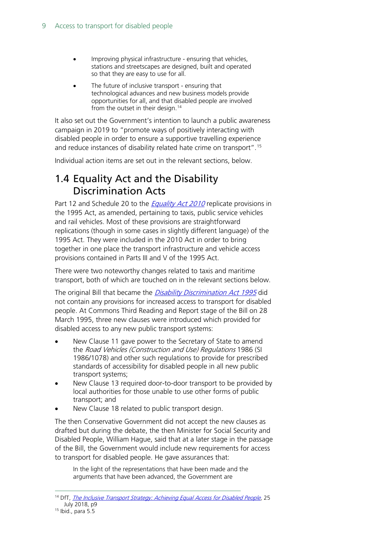- Improving physical infrastructure ensuring that vehicles, stations and streetscapes are designed, built and operated so that they are easy to use for all.
- The future of inclusive transport ensuring that technological advances and new business models provide opportunities for all, and that disabled people are involved from the outset in their design.<sup>[14](#page-8-1)</sup>

It also set out the Government's intention to launch a public awareness campaign in 2019 to "promote ways of positively interacting with disabled people in order to ensure a supportive travelling experience and reduce instances of disability related hate crime on transport".[15](#page-8-2)

Individual action items are set out in the relevant sections, below.

## <span id="page-8-0"></span>1.4 Equality Act and the Disability Discrimination Acts

Part 12 and Schedule 20 to the *[Equality Act](http://www.legislation.gov.uk/ukpga/2010/15/contents) 2010* replicate provisions in the 1995 Act, as amended, pertaining to taxis, public service vehicles and rail vehicles. Most of these provisions are straightforward replications (though in some cases in slightly different language) of the 1995 Act. They were included in the 2010 Act in order to bring together in one place the transport infrastructure and vehicle access provisions contained in Parts III and V of the 1995 Act.

There were two noteworthy changes related to taxis and maritime transport, both of which are touched on in the relevant sections below.

The original Bill that became the *[Disability Discrimination Act 1995](http://www.legislation.gov.uk/ukpga/1995/50/contents)* did not contain any provisions for increased access to transport for disabled people. At Commons Third Reading and Report stage of the Bill on 28 March 1995, three new clauses were introduced which provided for disabled access to any new public transport systems:

- New Clause 11 gave power to the Secretary of State to amend the Road Vehicles (Construction and Use) Regulations 1986 (SI 1986/1078) and other such regulations to provide for prescribed standards of accessibility for disabled people in all new public transport systems;
- New Clause 13 required door-to-door transport to be provided by local authorities for those unable to use other forms of public transport; and
- New Clause 18 related to public transport design.

The then Conservative Government did not accept the new clauses as drafted but during the debate, the then Minister for Social Security and Disabled People, William Hague, said that at a later stage in the passage of the Bill, the Government would include new requirements for access to transport for disabled people. He gave assurances that:

In the light of the representations that have been made and the arguments that have been advanced, the Government are

<span id="page-8-1"></span><sup>&</sup>lt;sup>14</sup> DfT, *[The Inclusive Transport Strategy: Achieving Equal Access for Disabled People](https://assets.publishing.service.gov.uk/government/uploads/system/uploads/attachment_data/file/728547/inclusive-transport-strategy.pdf)*, 25 July 2018, p9

<span id="page-8-2"></span><sup>15</sup> Ibid., para 5.5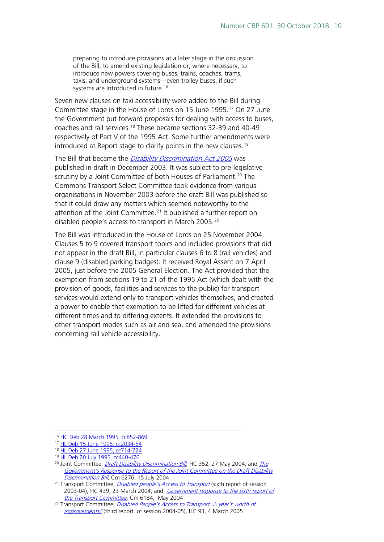preparing to introduce provisions at a later stage in the discussion of the Bill, to amend existing legislation or, where necessary, to introduce new powers covering buses, trains, coaches, trams, taxis, and underground systems—even trolley buses, if such systems are introduced in future.<sup>[16](#page-9-0)</sup>

Seven new clauses on taxi accessibility were added to the Bill during Committee stage in the House of Lords on 15 June 1995.<sup>[17](#page-9-1)</sup> On 27 June the Government put forward proposals for dealing with access to buses, coaches and rail services.[18](#page-9-2) These became sections 32-39 and 40-49 respectively of Part V of the 1995 Act. Some further amendments were introduced at Report stage to clarify points in the new clauses.<sup>19</sup>

The Bill that became the *[Disability Discrimination Act 2005](http://www.legislation.gov.uk/ukpga/2005/13/contents)* was published in draft in December 2003. It was subject to pre-legislative scrutiny by a Joint Committee of both Houses of Parliament.<sup>[20](#page-9-4)</sup> The Commons Transport Select Committee took evidence from various organisations in November 2003 before the draft Bill was published so that it could draw any matters which seemed noteworthy to the attention of the Joint Committee.<sup>[21](#page-9-5)</sup> It published a further report on disabled people's access to transport in March 2005.<sup>[22](#page-9-6)</sup>

The Bill was introduced in the House of Lords on 25 November 2004. Clauses 5 to 9 covered transport topics and included provisions that did not appear in the draft Bill, in particular clauses 6 to 8 (rail vehicles) and clause 9 (disabled parking badges). It received Royal Assent on 7 April 2005, just before the 2005 General Election. The Act provided that the exemption from sections 19 to 21 of the 1995 Act (which dealt with the provision of goods, facilities and services to the public) for transport services would extend only to transport vehicles themselves, and created a power to enable that exemption to be lifted for different vehicles at different times and to differing extents. It extended the provisions to other transport modes such as air and sea, and amended the provisions concerning rail vehicle accessibility.

<span id="page-9-0"></span> <sup>16</sup> [HC Deb 28 March 1995, cc852-869](http://hansard.millbanksystems.com/commons/1995/mar/28/accessibility-to-public-transport)

<span id="page-9-1"></span><sup>17</sup> [HL Deb 15 June 1995, cc2034-54](http://hansard.millbanksystems.com/lords/1995/jun/15/part-iiib-taxis)

<span id="page-9-2"></span><sup>18</sup> [HL Deb 27 June 1995, cc714-724](http://hansard.millbanksystems.com/lords/1995/jun/27/disability-discrimination-bill-1)

<sup>19</sup> [HL Deb 20 July 1995, cc440-476](http://hansard.millbanksystems.com/lords/1995/jul/20/disability-discrimination-bill-1)

<span id="page-9-4"></span><span id="page-9-3"></span><sup>&</sup>lt;sup>20</sup> Joint Committee, *[Draft Disability Discrimination Bill](http://www.publications.parliament.uk/pa/jt200304/jtselect/jtdisab/82/8202.htm)*, HC 352, 27 May 2004; and *The* Government's Response to the Report of the Joint Committee on the Draft Disability [Discrimination Bill](http://web.archive.org/web/20040822085910/http:/www.disability.gov.uk/legislation/ddb/response.asp), Cm 6276, 15 July 2004

<span id="page-9-5"></span><sup>&</sup>lt;sup>21</sup> Transport Committee, *[Disabled people's Access to Transport](http://www.publications.parliament.uk/pa/cm200304/cmselect/cmtran/439/43902.htm)* (sixth report of session 2003-04), HC 439, 23 March 2004; and *[Government response to the sixth report of](http://webarchive.nationalarchives.gov.uk/20090807170748/http:/www.dft.gov.uk/transportforyou/access/dda2005/pubs/part3/accesstotransport) the Transport Committee*, Cm 6184, May 2004

<span id="page-9-6"></span><sup>&</sup>lt;sup>22</sup> Transport Committee[,](http://webarchive.nationalarchives.gov.uk/20090807170748/http:/www.dft.gov.uk/transportforyou/access/dda2005/pubs/part3/accesstotransport) *Disabled People's Access to Transport: A year's worth of* [improvements?](http://www.publications.parliament.uk/pa/cm200405/cmselect/cmtran/93/9302.htm) (third report of session 2004-05), HC 93, 4 March 2005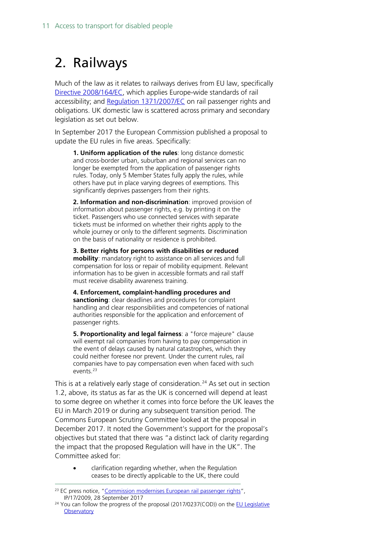## <span id="page-10-0"></span>2. Railways

Much of the law as it relates to railways derives from EU law, specifically [Directive 2008/164/EC,](http://eur-lex.europa.eu/LexUriServ/LexUriServ.do?uri=OJ:L:2008:064:0072:0207:EN:PDF) which applies Europe-wide standards of rail accessibility; and [Regulation 1371/2007/EC](http://eur-lex.europa.eu/LexUriServ/LexUriServ.do?uri=OJ:L:2007:315:0014:0041:EN:PDF) on rail passenger rights and obligations. UK domestic law is scattered across primary and secondary legislation as set out below.

In September 2017 the European Commission published a proposal to update the EU rules in five areas. Specifically:

**1. Uniform application of the rules**: long distance domestic and cross-border urban, suburban and regional services can no longer be exempted from the application of passenger rights rules. Today, only 5 Member States fully apply the rules, while others have put in place varying degrees of exemptions. This significantly deprives passengers from their rights.

**2. Information and non-discrimination**: improved provision of information about passenger rights, e.g. by printing it on the ticket. Passengers who use connected services with separate tickets must be informed on whether their rights apply to the whole journey or only to the different segments. Discrimination on the basis of nationality or residence is prohibited.

**3. Better rights for persons with disabilities or reduced mobility**: mandatory right to assistance on all services and full compensation for loss or repair of mobility equipment. Relevant information has to be given in accessible formats and rail staff must receive disability awareness training.

**4. Enforcement, complaint-handling procedures and sanctioning**: clear deadlines and procedures for complaint handling and clear responsibilities and competencies of national authorities responsible for the application and enforcement of passenger rights.

**5. Proportionality and legal fairness**: a "force majeure" clause will exempt rail companies from having to pay compensation in the event of delays caused by natural catastrophes, which they could neither foresee nor prevent. Under the current rules, rail companies have to pay compensation even when faced with such events<sup>[23](#page-10-1)</sup>

This is at a relatively early stage of consideration.<sup>[24](#page-10-2)</sup> As set out in section 1.2, above, its status as far as the UK is concerned will depend at least to some degree on whether it comes into force before the UK leaves the EU in March 2019 or during any subsequent transition period. The Commons European Scrutiny Committee looked at the proposal in December 2017. It noted the Government's support for the proposal's objectives but stated that there was "a distinct lack of clarity regarding the impact that the proposed Regulation will have in the UK". The Committee asked for:

• clarification regarding whether, when the Regulation ceases to be directly applicable to the UK, there could

<span id="page-10-1"></span><sup>&</sup>lt;sup>23</sup> EC press notice, ["Commission modernises European rail passenger rights"](http://europa.eu/rapid/press-release_IP-17-2009_en.htm), IP/17/2009, 28 September 2017

<span id="page-10-2"></span> $24$  You can follow the progress of the proposal (2017/0237(COD)) on the EU Legislative **[Observatory](http://www.europarl.europa.eu/oeil-mobile/fiche-procedure/2017/0237(COD)?l=en)**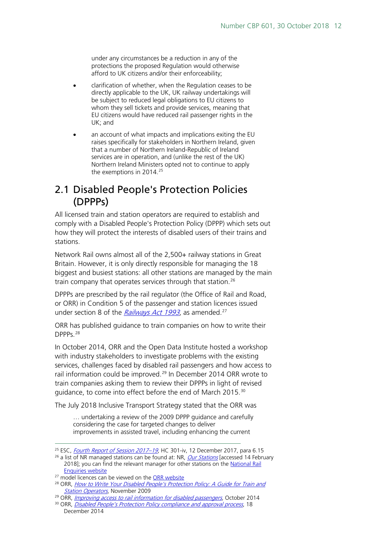under any circumstances be a reduction in any of the protections the proposed Regulation would otherwise afford to UK citizens and/or their enforceability;

- clarification of whether, when the Regulation ceases to be directly applicable to the UK, UK railway undertakings will be subject to reduced legal obligations to EU citizens to whom they sell tickets and provide services, meaning that EU citizens would have reduced rail passenger rights in the UK; and
- an account of what impacts and implications exiting the EU raises specifically for stakeholders in Northern Ireland, given that a number of Northern Ireland-Republic of Ireland services are in operation, and (unlike the rest of the UK) Northern Ireland Ministers opted not to continue to apply the exemptions in 2014.<sup>[25](#page-11-1)</sup>

### <span id="page-11-0"></span>2.1 Disabled People's Protection Policies (DPPPs)

All licensed train and station operators are required to establish and comply with a Disabled People's Protection Policy (DPPP) which sets out how they will protect the interests of disabled users of their trains and stations.

Network Rail owns almost all of the 2,500+ railway stations in Great Britain. However, it is only directly responsible for managing the 18 biggest and busiest stations: all other stations are managed by the main train company that operates services through that station.<sup>[26](#page-11-2)</sup>

DPPPs are prescribed by the rail regulator (the Office of Rail and Road, or ORR) in Condition 5 of the passenger and station licences issued under section 8 of the  $Railways Act 1993, as amended.<sup>27</sup>$  $Railways Act 1993, as amended.<sup>27</sup>$  $Railways Act 1993, as amended.<sup>27</sup>$  $Railways Act 1993, as amended.<sup>27</sup>$  $Railways Act 1993, as amended.<sup>27</sup>$ 

ORR has published guidance to train companies on how to write their DPPPs.[28](#page-11-4)

In October 2014, ORR and the Open Data Institute hosted a workshop with industry stakeholders to investigate problems with the existing services, challenges faced by disabled rail passengers and how access to rail information could be improved.<sup>[29](#page-11-5)</sup> In December 2014 ORR wrote to train companies asking them to review their DPPPs in light of revised guidance, to come into effect before the end of March 2015.<sup>[30](#page-11-6)</sup>

The July 2018 Inclusive Transport Strategy stated that the ORR was

… undertaking a review of the 2009 DPPP guidance and carefully considering the case for targeted changes to deliver improvements in assisted travel, including enhancing the current

<span id="page-11-1"></span><sup>&</sup>lt;sup>25</sup> ESC, *[Fourth Report of Session 2017–19](https://publications.parliament.uk/pa/cm201719/cmselect/cmeuleg/301-iv/301-iv.pdf)*, HC 301-iv, 12 December 2017, para 6.15

<span id="page-11-2"></span><sup>&</sup>lt;sup>26</sup> a list of NR managed stations can be found at: NR, *[Our Stations](https://www.networkrail.co.uk/communities/passengers/our-stations/)* [accessed 14 February 2018]; you can find the relevant manager for other stations on the [National Rail](http://www.nationalrail.co.uk/stations_destinations/default.aspx) 

<span id="page-11-3"></span>[Enquiries website](http://www.nationalrail.co.uk/stations_destinations/default.aspx) <sup>27</sup> model licences can be viewed on the [ORR website](http://orr.gov.uk/what-and-how-we-regulate/licensing/licensing-railway-operators/model-licences-and-statements-of-national-regulatory-provisions-snrps)

<span id="page-11-4"></span><sup>&</sup>lt;sup>28</sup> ORR, How to Write Your Disabled People's Protection Policy: A Guide for Train and **[Station Operators](http://webarchive.nationalarchives.gov.uk/20151006133453/http:/orr.gov.uk/__data/assets/pdf_file/0015/5604/how-to-write-your-dppp.pdf), November 2009** 

<span id="page-11-5"></span><sup>&</sup>lt;sup>29</sup> ORR, *[Improving access to rail information for disabled passengers](http://webarchive.nationalarchives.gov.uk/20151006143423/http:/orr.gov.uk/__data/assets/pdf_file/0004/16564/improving-access-to-rail-info-for-disabled-passengers.pdf)*, October 2014

<span id="page-11-6"></span><sup>&</sup>lt;sup>30</sup> ORR, [Disabled People's Protection Policy compliance and approval process](http://webarchive.nationalarchives.gov.uk/20151006143410/http:/orr.gov.uk/__data/assets/pdf_file/0006/16377/dppp-compliance-and-approval-process.pdf), 18 December 2014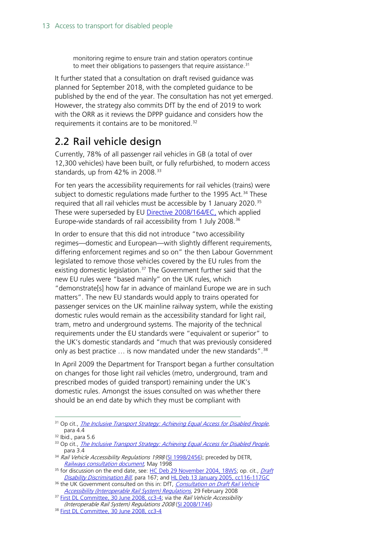monitoring regime to ensure train and station operators continue to meet their obligations to passengers that require assistance.<sup>[31](#page-12-1)</sup>

It further stated that a consultation on draft revised guidance was planned for September 2018, with the completed guidance to be published by the end of the year. The consultation has not yet emerged. However, the strategy also commits DfT by the end of 2019 to work with the ORR as it reviews the DPPP guidance and considers how the requirements it contains are to be monitored.<sup>[32](#page-12-2)</sup>

### <span id="page-12-0"></span>2.2 Rail vehicle design

Currently, 78% of all passenger rail vehicles in GB (a total of over 12,300 vehicles) have been built, or fully refurbished, to modern access standards, up from 42% in 2008.<sup>[33](#page-12-3)</sup>

For ten years the accessibility requirements for rail vehicles (trains) were subject to domestic regulations made further to the 1995 Act.<sup>[34](#page-12-4)</sup> These required that all rail vehicles must be accessible by 1 January 2020.<sup>[35](#page-12-5)</sup> These were superseded by EU [Directive 2008/164/EC,](http://eur-lex.europa.eu/LexUriServ/LexUriServ.do?uri=OJ:L:2008:064:0072:0207:EN:PDF) which applied Europe-wide standards of rail accessibility from 1 July 2008.<sup>[36](#page-12-6)</sup>

In order to ensure that this did not introduce "two accessibility regimes—domestic and European—with slightly different requirements, differing enforcement regimes and so on" the then Labour Government legislated to remove those vehicles covered by the EU rules from the existing domestic legislation.<sup>[37](#page-12-7)</sup> The Government further said that the new EU rules were "based mainly" on the UK rules, which "demonstrate[s] how far in advance of mainland Europe we are in such matters". The new EU standards would apply to trains operated for passenger services on the UK mainline railway system, while the existing domestic rules would remain as the accessibility standard for light rail, tram, metro and underground systems. The majority of the technical requirements under the EU standards were "equivalent or superior" to the UK's domestic standards and "much that was previously considered only as best practice  $\ldots$  is now mandated under the new standards".<sup>[38](#page-12-8)</sup>

In April 2009 the Department for Transport began a further consultation on changes for those light rail vehicles (metro, underground, tram and prescribed modes of guided transport) remaining under the UK's domestic rules. Amongst the issues consulted on was whether there should be an end date by which they must be compliant with

<span id="page-12-1"></span><sup>&</sup>lt;sup>31</sup> Op cit., *[The Inclusive Transport Strategy: Achieving Equal Access for Disabled People](https://assets.publishing.service.gov.uk/government/uploads/system/uploads/attachment_data/file/728547/inclusive-transport-strategy.pdf)*, para 4.4

 $32$  Ibid., para 5.6

<span id="page-12-3"></span><span id="page-12-2"></span><sup>33</sup> Op cit., *[The Inclusive Transport Strategy: Achieving Equal Access for Disabled People](https://assets.publishing.service.gov.uk/government/uploads/system/uploads/attachment_data/file/728547/inclusive-transport-strategy.pdf)*, para 3.4

<span id="page-12-4"></span> $34$  Rail Vehicle Accessibility Regulations 1998 [\(SI 1998/2456\)](http://www.legislation.gov.uk/uksi/1998/2456/contents/made); preceded by DETR, [Railways consultation document,](http://web.archive.org/web/20000510064100/http:/www.mobility-unit.detr.gov.uk/dda95/rail/index.htm) May 1998

<span id="page-12-5"></span><sup>&</sup>lt;sup>35</sup> for discussion on the end date, see: [HC Deb 29 November 2004,](http://www.parliament.the-stationery-office.co.uk/pa/cm200405/cmhansrd/vo041129/wmstext/41129m01.htm) 18WS; op. cit., Draft [Disability Discrimination Bill,](http://www.publications.parliament.uk/pa/jt200304/jtselect/jtdisab/82/8202.htm) para 167; and [HL Deb 13 January 2005, cc116-117GC](http://www.publications.parliament.uk/pa/ld200405/ldhansrd/vo050113/text/50113-50.htm)

<span id="page-12-6"></span><sup>&</sup>lt;sup>36</sup> the UK Government consulted on this in: DfT, Consultation on Draft Rail Vehicle [Accessibility \(Interoperable Rail System\) Regulations](http://webarchive.nationalarchives.gov.uk/20100104171434/http:/www.dft.gov.uk/consultations/archive/2008/railvehicleaccessibility/), 29 February 2008 <sup>37</sup> [First DL Committee, 30 June 2008, cc3-4;](http://www.publications.parliament.uk/pa/cm200708/cmgeneral/deleg1/080630/80630s01.htm) via the Rail Vehicle Accessibility

<sup>(</sup>Interoperable Rail System) Regulations 2008 [\(SI 2008/1746\)](http://www.opsi.gov.uk/si/si2008/uksi_20081746_en_1)

<span id="page-12-8"></span><span id="page-12-7"></span><sup>&</sup>lt;sup>38</sup> [First DL Committee, 30 June 2008, cc3-4](http://www.publications.parliament.uk/pa/cm200708/cmgeneral/deleg1/080630/80630s01.htm)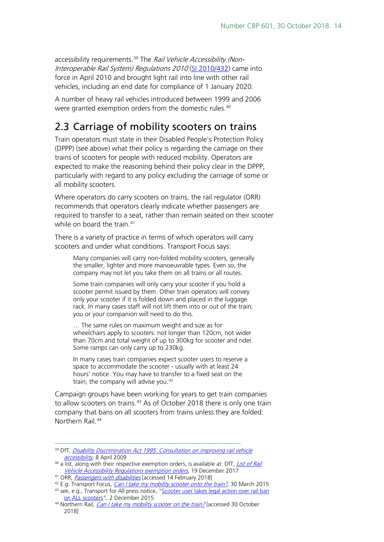accessibility requirements.<sup>[39](#page-13-1)</sup> The *Rail Vehicle Accessibility (Non-*Interoperable Rail System) Regulations 2010 [\(SI 2010/432\)](http://www.legislation.gov.uk/uksi/2010/432/contents/made) came into force in April 2010 and brought light rail into line with other rail vehicles, including an end date for compliance of 1 January 2020.

A number of heavy rail vehicles introduced between 1999 and 2006 were granted exemption orders from the domestic rules.<sup>[40](#page-13-2)</sup>

## <span id="page-13-0"></span>2.3 Carriage of mobility scooters on trains

Train operators must state in their Disabled People's Protection Policy (DPPP) (see above) what their policy is regarding the carriage on their trains of scooters for people with reduced mobility. Operators are expected to make the reasoning behind their policy clear in the DPPP, particularly with regard to any policy excluding the carriage of some or all mobility scooters.

Where operators do carry scooters on trains, the rail regulator (ORR) recommends that operators clearly indicate whether passengers are required to transfer to a seat, rather than remain seated on their scooter while on board the train.<sup>[41](#page-13-3)</sup>

There is a variety of practice in terms of which operators will carry scooters and under what conditions. Transport Focus says:

Many companies will carry non-folded mobility scooters, generally the smaller, lighter and more manoeuvrable types. Even so, the company may not let you take them on all trains or all routes.

Some train companies will only carry your scooter if you hold a scooter permit issued by them. Other train operators will convey only your scooter if it is folded down and placed in the luggage rack. In many cases staff will not lift them into or out of the train; you or your companion will need to do this.

… The same rules on maximum weight and size as for wheelchairs apply to scooters: not longer than 120cm, not wider than 70cm and total weight of up to 300kg for scooter and rider. Some ramps can only carry up to 230kg.

In many cases train companies expect scooter users to reserve a space to accommodate the scooter - usually with at least 24 hours' notice. You may have to transfer to a fixed seat on the train; the company will advise you.<sup>[42](#page-13-4)</sup>

Campaign groups have been working for years to get train companies to allow scooters on trains.<sup>[43](#page-13-5)</sup> As of October 2018 there is only one train company that bans on all scooters from trains unless they are folded: Northern Rail. [44](#page-13-6)

<span id="page-13-1"></span><sup>&</sup>lt;sup>39</sup> DfT, *Disability Discrimination Act 1995: Consultation on improving rail vehicle* [accessibility](http://webarchive.nationalarchives.gov.uk/20101007145331/http:/www.dft.gov.uk/consultations/archive/2009/rvarconsul), 8 April 2009

<span id="page-13-2"></span><sup>&</sup>lt;sup>40</sup> a list, along with their respective exemption orders, is available at: DfT, *List of Rail* [Vehicle Accessibility Regulations exemption orders](https://www.gov.uk/government/publications/list-of-rvar-exemption-orders/list-of-rail-vehicle-accessibility-regulations-exemption-orders), 19 December 2017

<span id="page-13-3"></span><sup>&</sup>lt;sup>41</sup> ORR, *[Passengers with disabilities](http://orr.gov.uk/info-for-passengers/passengers-with-disabilities)* [accessed 14 February 2018]

<span id="page-13-5"></span><span id="page-13-4"></span> $42$  E.g. Transport Focus, *[Can I take my mobility scooter onto the train?](https://www.transportfocus.org.uk/advice-and-complaints/faq/can-i-take-my-mobility-scooter-onto-the-train/)*, 30 March 2015 <sup>43</sup> see, e.g., Transport for All press notice, "Scooter user takes legal action over rail ban [on ALL scooters"](http://www.transportforall.org.uk/news/scooter-user-takes-legal-action-over-rail-ban-on-all-scooters), 2 December 2015

<span id="page-13-6"></span><sup>&</sup>lt;sup>44</sup> Northern Rail, *[Can I take my mobility scooter on the train?](https://www.northernrailway.co.uk/faq/accessibility/99-can-i-take-my-mobility-scooter-on-the-train)* [accessed 30 October 2018]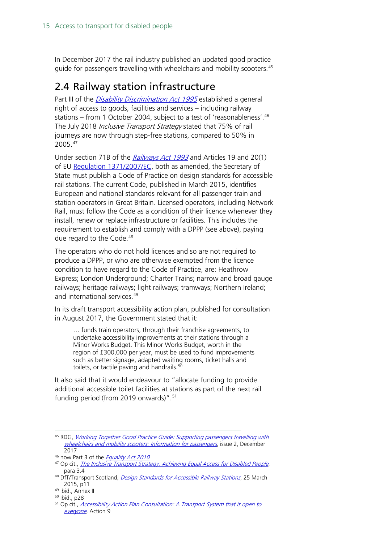In December 2017 the rail industry published an updated good practice guide for passengers travelling with wheelchairs and mobility scooters.<sup>[45](#page-14-1)</sup>

## <span id="page-14-0"></span>2.4 Railway station infrastructure

Part III of the *[Disability Discrimination Act 1995](http://www.legislation.gov.uk/ukpga/1995/50/contents)* established a general right of access to goods, facilities and services – including railway stations – from 1 October 2004, subject to a test of 'reasonableness'.<sup>[46](#page-14-2)</sup> The July 2018 *Inclusive Transport Strategy* stated that 75% of rail journeys are now through step-free stations, compared to 50% in 2005.[47](#page-14-3)

Under section 71B of the [Railways Act 1993](http://www.legislation.gov.uk/ukpga/1993/43/section/71B) and Articles 19 and 20(1) of EU [Regulation 1371/2007/EC,](http://eur-lex.europa.eu/LexUriServ/LexUriServ.do?uri=OJ:L:2007:315:0014:0041:EN:PDF) both as amended, the Secretary of State must publish a Code of Practice on design standards for accessible rail stations. The current Code, published in March 2015, identifies European and national standards relevant for all passenger train and station operators in Great Britain. Licensed operators, including Network Rail, must follow the Code as a condition of their licence whenever they install, renew or replace infrastructure or facilities. This includes the requirement to establish and comply with a DPPP (see above), paying due regard to the Code.<sup>[48](#page-14-4)</sup>

The operators who do not hold licences and so are not required to produce a DPPP, or who are otherwise exempted from the licence condition to have regard to the Code of Practice, are: Heathrow Express; London Underground; Charter Trains; narrow and broad gauge railways; heritage railways; light railways; tramways; Northern Ireland; and international services.<sup>[49](#page-14-5)</sup>

In its draft transport accessibility action plan, published for consultation in August 2017, the Government stated that it:

… funds train operators, through their franchise agreements, to undertake accessibility improvements at their stations through a Minor Works Budget. This Minor Works Budget, worth in the region of £300,000 per year, must be used to fund improvements such as better signage, adapted waiting rooms, ticket halls and toilets, or tactile paving and handrails.<sup>[50](#page-14-6)</sup>

It also said that it would endeavour to "allocate funding to provide additional accessible toilet facilities at stations as part of the next rail funding period (from 2019 onwards)". [51](#page-14-7)

<span id="page-14-1"></span> <sup>45</sup> RDG, [Working Together Good Practice Guide: Supporting passengers travelling with](https://www.rssb.co.uk/pages/research-catalogue/t1055.aspx)  [wheelchairs and mobility scooters: Information for passengers](https://www.rssb.co.uk/pages/research-catalogue/t1055.aspx), issue 2, December 2017

<sup>&</sup>lt;sup>46</sup> now Part 3 of the *[Equality Act 2010](http://www.legislation.gov.uk/ukpga/2010/15/contents)* 

<span id="page-14-3"></span><span id="page-14-2"></span><sup>&</sup>lt;sup>47</sup> Op cit., [The Inclusive Transport Strategy: Achieving Equal Access for Disabled People](https://assets.publishing.service.gov.uk/government/uploads/system/uploads/attachment_data/file/728547/inclusive-transport-strategy.pdf), para 3.4

<span id="page-14-4"></span><sup>&</sup>lt;sup>48</sup> DfT/Transport Scotland, *[Design Standards for Accessible Railway Stations](http://webarchive.nationalarchives.gov.uk/20160211105935/https:/www.gov.uk/government/uploads/system/uploads/attachment_data/file/425977/design-standards-accessible-stations.pdf)*, 25 March 2015, p11

<span id="page-14-6"></span><span id="page-14-5"></span><sup>49</sup> ibid., Annex II

<sup>50</sup> Ibid., p28

<span id="page-14-7"></span><sup>&</sup>lt;sup>51</sup> Op cit., *[Accessibility Action Plan Consultation:](https://www.gov.uk/government/consultations/draft-transport-accessibility-action-plan) A Transport System that is open to* [everyone](https://www.gov.uk/government/consultations/draft-transport-accessibility-action-plan), Action 9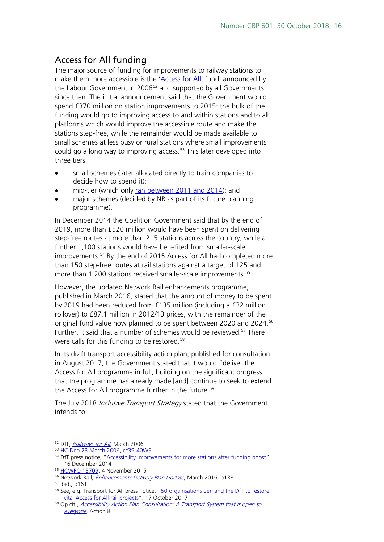#### <span id="page-15-0"></span>Access for All funding

The major source of funding for improvements to railway stations to make them more accessible is the ['Access for All'](https://www.networkrail.co.uk/communities/passengers/station-improvements/access-for-all/) fund, announced by the Labour Government in 2006<sup>[52](#page-15-1)</sup> and supported by all Governments since then. The initial announcement said that the Government would spend £370 million on station improvements to 2015: the bulk of the funding would go to improving access to and within stations and to all platforms which would improve the accessible route and make the stations step-free, while the remainder would be made available to small schemes at less busy or rural stations where small improvements could go a long way to improving access. [53](#page-15-2) This later developed into three tiers:

- small schemes (later allocated directly to train companies to decide how to spend it);
- mid-tier (which only [ran between 2011 and 2014\)](http://webarchive.nationalarchives.gov.uk/20110504001631/http:/www.dft.gov.uk/transportforyou/access/rail/railstations/accessforallfunding/); and
- major schemes (decided by NR as part of its future planning programme).

In December 2014 the Coalition Government said that by the end of 2019, more than £520 million would have been spent on delivering step-free routes at more than 215 stations across the country, while a further 1,100 stations would have benefited from smaller-scale improvements.<sup>[54](#page-15-3)</sup> By the end of 2015 Access for All had completed more than 150 step-free routes at rail stations against a target of 125 and more than 1,200 stations received smaller-scale improvements.<sup>[55](#page-15-4)</sup>

However, the updated Network Rail enhancements programme, published in March 2016, stated that the amount of money to be spent by 2019 had been reduced from £135 million (including a £32 million rollover) to £87.1 million in 2012/13 prices, with the remainder of the original fund value now planned to be spent between 2020 and 2024.<sup>[56](#page-15-5)</sup> Further, it said that a number of schemes would be reviewed.<sup>[57](#page-15-6)</sup> There were calls for this funding to be restored.<sup>[58](#page-15-7)</sup>

In its draft transport accessibility action plan, published for consultation in August 2017, the Government stated that it would "deliver the Access for All programme in full, building on the significant progress that the programme has already made [and] continue to seek to extend the Access for All programme further in the future.<sup>[59](#page-15-8)</sup>

The July 2018 *Inclusive Transport Strategy* stated that the Government intends to:

<span id="page-15-1"></span><sup>&</sup>lt;sup>52</sup> DfT, *[Railways for All](http://webarchive.nationalarchives.gov.uk/20120409061727/http:/assets.dft.gov.uk/publications/railways-for-all-strategy/railways-for-all-strategy.pdf)*, March 2006

<span id="page-15-2"></span><sup>53</sup> [HC Deb 23 March 2006, cc39-40WS](http://www.parliament.the-stationery-office.co.uk/pa/cm200506/cmhansrd/vo060323/wmstext/60323m04.htm)

<span id="page-15-3"></span><sup>&</sup>lt;sup>54</sup> DfT press notice, ["Accessibility improvements for more stations after funding boost"](http://webarchive.nationalarchives.gov.uk/20151007041137/https:/www.gov.uk/government/news/accessibility-improvements-for-more-stations-after-funding-boost). 16 December 2014

<span id="page-15-4"></span><sup>55</sup> [HCWPQ 13709,](http://www.parliament.uk/written-questions-answers-statements/written-question/commons/2015-10-27/13709) 4 November 2015

<span id="page-15-5"></span><sup>56</sup> Network Rail, *[Enhancements Delivery Plan Update](http://webarchive.nationalarchives.gov.uk/20160606153529/http:/www.networkrail.co.uk/publications/delivery-plans/control-period-5/cp5-delivery-plan/)*, March 2016, p138

<span id="page-15-6"></span><sup>57</sup> ibid., p161

<span id="page-15-7"></span><sup>&</sup>lt;sup>58</sup> See, e.g. Transport for All press notice, "50 organisations demand the DfT to restore [vital Access for All rail projects"](http://www.transportforall.org.uk/about/news/50-organisations-demand-the-dft-to-restore-vital-access-for-all-rail-projects), 17 October 2017

<span id="page-15-8"></span><sup>&</sup>lt;sup>59</sup> Op cit., *[Accessibility Action Plan Consultation:](https://www.gov.uk/government/consultations/draft-transport-accessibility-action-plan) A Transport System that is open to* [everyone](https://www.gov.uk/government/consultations/draft-transport-accessibility-action-plan), Action 8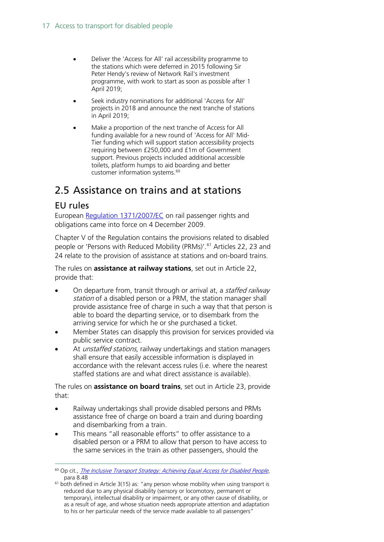- Deliver the 'Access for All' rail accessibility programme to the stations which were deferred in 2015 following Sir Peter Hendy's review of Network Rail's investment programme, with work to start as soon as possible after 1 April 2019;
- Seek industry nominations for additional 'Access for All' projects in 2018 and announce the next tranche of stations in April 2019;
- Make a proportion of the next tranche of Access for All funding available for a new round of 'Access for All' Mid-Tier funding which will support station accessibility projects requiring between £250,000 and £1m of Government support. Previous projects included additional accessible toilets, platform humps to aid boarding and better customer information systems.<sup>[60](#page-16-2)</sup>

## <span id="page-16-0"></span>2.5 Assistance on trains and at stations

#### <span id="page-16-1"></span>EU rules

European [Regulation 1371/2007/EC](http://eur-lex.europa.eu/LexUriServ/LexUriServ.do?uri=OJ:L:2007:315:0014:0041:EN:PDF) on rail passenger rights and obligations came into force on 4 December 2009.

Chapter V of the Regulation contains the provisions related to disabled people or 'Persons with Reduced Mobility (PRMs)'.<sup>[61](#page-16-3)</sup> Articles 22, 23 and 24 relate to the provision of assistance at stations and on-board trains.

The rules on **assistance at railway stations**, set out in Article 22, provide that:

- On departure from, transit through or arrival at, a *staffed railway* station of a disabled person or a PRM, the station manager shall provide assistance free of charge in such a way that that person is able to board the departing service, or to disembark from the arriving service for which he or she purchased a ticket.
- Member States can disapply this provision for services provided via public service contract.
- At *unstaffed stations*, railway undertakings and station managers shall ensure that easily accessible information is displayed in accordance with the relevant access rules (i.e. where the nearest staffed stations are and what direct assistance is available).

The rules on **assistance on board trains**, set out in Article 23, provide that:

- Railway undertakings shall provide disabled persons and PRMs assistance free of charge on board a train and during boarding and disembarking from a train.
- This means "all reasonable efforts" to offer assistance to a disabled person or a PRM to allow that person to have access to the same services in the train as other passengers, should the

<span id="page-16-2"></span><sup>&</sup>lt;sup>60</sup> Op cit., [The Inclusive Transport Strategy: Achieving Equal Access for Disabled People](https://assets.publishing.service.gov.uk/government/uploads/system/uploads/attachment_data/file/728547/inclusive-transport-strategy.pdf), para 8.48

<span id="page-16-3"></span> $61$  both defined in Article 3(15) as: "any person whose mobility when using transport is reduced due to any physical disability (sensory or locomotory, permanent or temporary), intellectual disability or impairment, or any other cause of disability, or as a result of age, and whose situation needs appropriate attention and adaptation to his or her particular needs of the service made available to all passengers"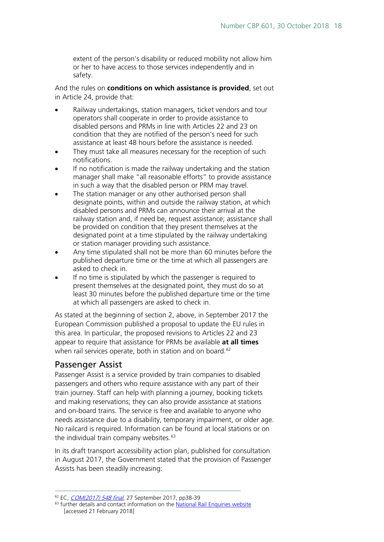extent of the person's disability or reduced mobility not allow him or her to have access to those services independently and in safety.

And the rules on **conditions on which assistance is provided**, set out in Article 24, provide that:

- Railway undertakings, station managers, ticket vendors and tour operators shall cooperate in order to provide assistance to disabled persons and PRMs in line with Articles 22 and 23 on condition that they are notified of the person's need for such assistance at least 48 hours before the assistance is needed.
- They must take all measures necessary for the reception of such notifications.
- If no notification is made the railway undertaking and the station manager shall make "all reasonable efforts" to provide assistance in such a way that the disabled person or PRM may travel.
- The station manager or any other authorised person shall designate points, within and outside the railway station, at which disabled persons and PRMs can announce their arrival at the railway station and, if need be, request assistance; assistance shall be provided on condition that they present themselves at the designated point at a time stipulated by the railway undertaking or station manager providing such assistance.
- Any time stipulated shall not be more than 60 minutes before the published departure time or the time at which all passengers are asked to check in.
- If no time is stipulated by which the passenger is required to present themselves at the designated point, they must do so at least 30 minutes before the published departure time or the time at which all passengers are asked to check in.

As stated at the beginning of section 2, above, in September 2017 the European Commission published a proposal to update the EU rules in this area. In particular, the proposed revisions to Articles 22 and 23 appear to require that assistance for PRMs be available **at all times** when rail services operate, both in station and on board.<sup>[62](#page-17-1)</sup>

#### <span id="page-17-0"></span>Passenger Assist

Passenger Assist is a service provided by train companies to disabled passengers and others who require assistance with any part of their train journey. Staff can help with planning a journey, booking tickets and making reservations; they can also provide assistance at stations and on-board trains. The service is free and available to anyone who needs assistance due to a disability, temporary impairment, or older age. No railcard is required. Information can be found at local stations or on the individual train company websites. $63$ 

In its draft transport accessibility action plan, published for consultation in August 2017, the Government stated that the provision of Passenger Assists has been steadily increasing:

<span id="page-17-1"></span><sup>&</sup>lt;sup>62</sup> EC, *[COM\(2017\) 548 final](http://eur-lex.europa.eu/resource.html?uri=cellar:8697fedd-a362-11e7-8e7b-01aa75ed71a1.0024.02/DOC_1&format=PDF)*, 27 September 2017, pp38-39

<span id="page-17-2"></span> $63$  further details and contact information on th[e National Rail Enquiries website](http://www.nationalrail.co.uk/stations_destinations/disabled_passengers.aspx) [accessed 21 February 2018]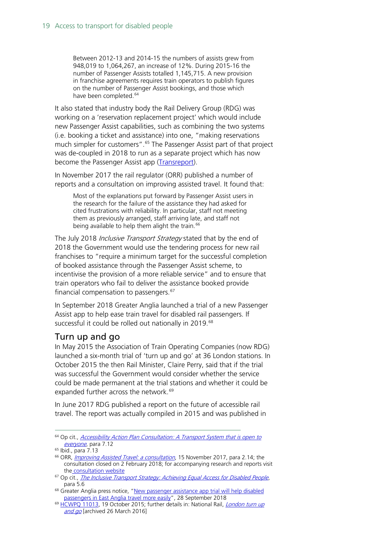Between 2012-13 and 2014-15 the numbers of assists grew from 948,019 to 1,064,267, an increase of 12%. During 2015-16 the number of Passenger Assists totalled 1,145,715. A new provision in franchise agreements requires train operators to publish figures on the number of Passenger Assist bookings, and those which have been completed.<sup>[64](#page-18-1)</sup>

It also stated that industry body the Rail Delivery Group (RDG) was working on a 'reservation replacement project' which would include new Passenger Assist capabilities, such as combining the two systems (i.e. booking a ticket and assistance) into one, "making reservations much simpler for customers". [65](#page-18-2) The Passenger Assist part of that project was de-coupled in 2018 to run as a separate project which has now become the Passenger Assist app [\(Transreport\)](https://www.transreport.co.uk/).

In November 2017 the rail regulator (ORR) published a number of reports and a consultation on improving assisted travel. It found that:

Most of the explanations put forward by Passenger Assist users in the research for the failure of the assistance they had asked for cited frustrations with reliability. In particular, staff not meeting them as previously arranged, staff arriving late, and staff not being available to help them alight the train.<sup>[66](#page-18-3)</sup>

The July 2018 *Inclusive Transport Strategy* stated that by the end of 2018 the Government would use the tendering process for new rail franchises to "require a minimum target for the successful completion of booked assistance through the Passenger Assist scheme, to incentivise the provision of a more reliable service" and to ensure that train operators who fail to deliver the assistance booked provide financial compensation to passengers.<sup>[67](#page-18-4)</sup>

In September 2018 Greater Anglia launched a trial of a new Passenger Assist app to help ease train travel for disabled rail passengers. If successful it could be rolled out nationally in 2019.<sup>[68](#page-18-5)</sup>

#### <span id="page-18-0"></span>Turn up and go

In May 2015 the Association of Train Operating Companies (now RDG) launched a six-month trial of 'turn up and go' at 36 London stations. In October 2015 the then Rail Minister, Claire Perry, said that if the trial was successful the Government would consider whether the service could be made permanent at the trial stations and whether it could be expanded further across the network.<sup>[69](#page-18-6)</sup>

In June 2017 RDG published a report on the future of accessible rail travel. The report was actually compiled in 2015 and was published in

<span id="page-18-1"></span> <sup>64</sup> Op cit., [Accessibility Action Plan Consultation: A Transport System that is open to](https://www.gov.uk/government/consultations/draft-transport-accessibility-action-plan)  [everyone](https://www.gov.uk/government/consultations/draft-transport-accessibility-action-plan), para 7.12

<sup>65</sup> Ibid., para 7.13

<span id="page-18-3"></span><span id="page-18-2"></span><sup>&</sup>lt;sup>66</sup> ORR, *[Improving Assisted Travel: a consultation](http://orr.gov.uk/__data/assets/pdf_file/0007/25981/improving-assisted-travel-consultation-november-2017.pdf)*, 15 November 2017, para 2.14; the consultation closed on 2 February 2018; for accompanying research and reports visit the [consultation website](http://orr.gov.uk/rail/consultations/policy-consultations-by-topic/consumer-consultations/improving-assisted-travel-consultation)

<span id="page-18-4"></span><sup>&</sup>lt;sup>67</sup> Op cit., *[The Inclusive Transport Strategy: Achieving Equal Access for Disabled People](https://assets.publishing.service.gov.uk/government/uploads/system/uploads/attachment_data/file/728547/inclusive-transport-strategy.pdf)*, para 5.6

<span id="page-18-5"></span><sup>&</sup>lt;sup>68</sup> Greater Anglia press notice, "New passenger assistance app trial will help disabled [passengers in East Anglia travel more easily"](https://www.greateranglia.co.uk/about-us/news-desk/news-articles/new-passenger-assistance-app-trial-will-help-disabled-passengers-in), 28 September 2018

<span id="page-18-6"></span><sup>&</sup>lt;sup>69</sup> HCWPO 11013, 19 October 2015; further details in: National Rail, *London turn up* [and go](http://web.archive.org/web/20160326011341/http:/www.nationalrail.co.uk/static/documents/content/London_TUG_leaflet_lo_res.pdf) [archived 26 March 2016]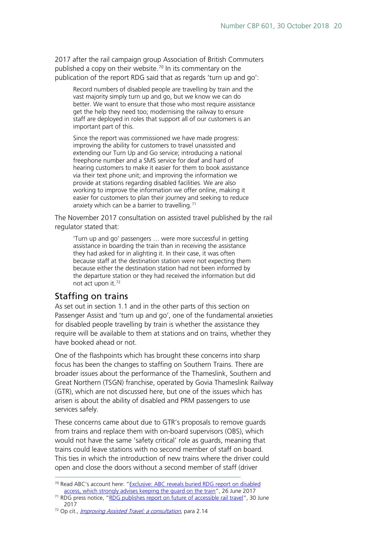2017 after the rail campaign group Association of British Commuters published a copy on their website.<sup>[70](#page-19-1)</sup> In its commentary on the publication of the report RDG said that as regards 'turn up and go':

Record numbers of disabled people are travelling by train and the vast majority simply turn up and go, but we know we can do better. We want to ensure that those who most require assistance get the help they need too; modernising the railway to ensure staff are deployed in roles that support all of our customers is an important part of this.

Since the report was commissioned we have made progress: improving the ability for customers to travel unassisted and extending our Turn Up and Go service; introducing a national freephone number and a SMS service for deaf and hard of hearing customers to make it easier for them to book assistance via their text phone unit; and improving the information we provide at stations regarding disabled facilities. We are also working to improve the information we offer online, making it easier for customers to plan their journey and seeking to reduce anxiety which can be a barrier to travelling.<sup>[71](#page-19-2)</sup>

The November 2017 consultation on assisted travel published by the rail regulator stated that:

'Turn up and go' passengers … were more successful in getting assistance in boarding the train than in receiving the assistance they had asked for in alighting it. In their case, it was often because staff at the destination station were not expecting them because either the destination station had not been informed by the departure station or they had received the information but did not act upon it.[72](#page-19-3)

#### <span id="page-19-0"></span>Staffing on trains

As set out in section 1.1 and in the other parts of this section on Passenger Assist and 'turn up and go', one of the fundamental anxieties for disabled people travelling by train is whether the assistance they require will be available to them at stations and on trains, whether they have booked ahead or not.

One of the flashpoints which has brought these concerns into sharp focus has been the changes to staffing on Southern Trains. There are broader issues about the performance of the Thameslink, Southern and Great Northern (TSGN) franchise, operated by Govia Thameslink Railway (GTR), which are not discussed here, but one of the issues which has arisen is about the ability of disabled and PRM passengers to use services safely.

These concerns came about due to GTR's proposals to remove guards from trains and replace them with on-board supervisors (OBS), which would not have the same 'safety critical' role as guards, meaning that trains could leave stations with no second member of staff on board. This ties in which the introduction of new trains where the driver could open and close the doors without a second member of staff (driver

<span id="page-19-3"></span><sup>72</sup> Op cit., *[Improving Assisted Travel: a consultation](http://orr.gov.uk/__data/assets/pdf_file/0007/25981/improving-assisted-travel-consultation-november-2017.pdf)*, para 2.14

<span id="page-19-1"></span> <sup>70</sup> Read ABC's account here: ["Exclusive: ABC reveals buried RDG report on disabled](https://abcommuters.wordpress.com/2017/06/26/exclusive-abc-reveals-buried-rdg-report-on-disabled-access-which-strongly-advises-keeping-the-guard-on-the-train/)  [access, which strongly advises keeping the guard on the train"](https://abcommuters.wordpress.com/2017/06/26/exclusive-abc-reveals-buried-rdg-report-on-disabled-access-which-strongly-advises-keeping-the-guard-on-the-train/), 26 June 2017

<span id="page-19-2"></span><sup>&</sup>lt;sup>71</sup> RDG press notice, ["RDG publishes report on future of accessible rail travel"](https://www.raildeliverygroup.com/media-centre/press-releases/2017/469772982-2017-06-30.html), 30 June 2017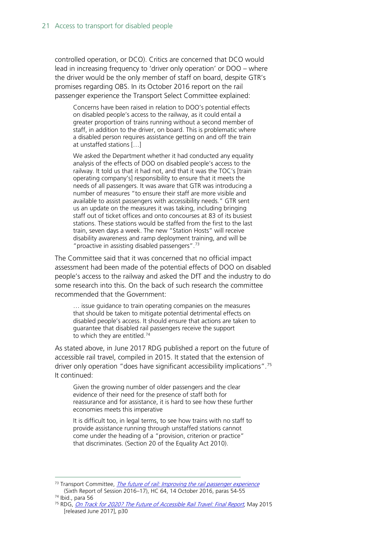controlled operation, or DCO). Critics are concerned that DCO would lead in increasing frequency to 'driver only operation' or DOO – where the driver would be the only member of staff on board, despite GTR's promises regarding OBS. In its October 2016 report on the rail passenger experience the Transport Select Committee explained:

Concerns have been raised in relation to DOO's potential effects on disabled people's access to the railway, as it could entail a greater proportion of trains running without a second member of staff, in addition to the driver, on board. This is problematic where a disabled person requires assistance getting on and off the train at unstaffed stations […]

We asked the Department whether it had conducted any equality analysis of the effects of DOO on disabled people's access to the railway. It told us that it had not, and that it was the TOC's [train operating company's] responsibility to ensure that it meets the needs of all passengers. It was aware that GTR was introducing a number of measures "to ensure their staff are more visible and available to assist passengers with accessibility needs." GTR sent us an update on the measures it was taking, including bringing staff out of ticket offices and onto concourses at 83 of its busiest stations. These stations would be staffed from the first to the last train, seven days a week. The new "Station Hosts" will receive disability awareness and ramp deployment training, and will be "proactive in assisting disabled passengers".[73](#page-20-0)

The Committee said that it was concerned that no official impact assessment had been made of the potential effects of DOO on disabled people's access to the railway and asked the DfT and the industry to do some research into this. On the back of such research the committee recommended that the Government:

… issue guidance to train operating companies on the measures that should be taken to mitigate potential detrimental effects on disabled people's access. It should ensure that actions are taken to guarantee that disabled rail passengers receive the support to which they are entitled.<sup>[74](#page-20-1)</sup>

As stated above, in June 2017 RDG published a report on the future of accessible rail travel, compiled in 2015. It stated that the extension of driver only operation "does have significant accessibility implications".[75](#page-20-2) It continued:

Given the growing number of older passengers and the clear evidence of their need for the presence of staff both for reassurance and for assistance, it is hard to see how these further economies meets this imperative

It is difficult too, in legal terms, to see how trains with no staff to provide assistance running through unstaffed stations cannot come under the heading of a "provision, criterion or practice" that discriminates. (Section 20 of the Equality Act 2010).

<span id="page-20-0"></span><sup>&</sup>lt;sup>73</sup> Transport Committee, *[The future of rail: Improving the rail passenger experience](http://www.publications.parliament.uk/pa/cm201617/cmselect/cmtrans/64/64.pdf)* (Sixth Report of Session 2016–17), HC 64, 14 October 2016, paras 54-55 <sup>74</sup> Ibid., para 56

<span id="page-20-2"></span><span id="page-20-1"></span><sup>&</sup>lt;sup>75</sup> RDG, *[On Track for 2020? The Future of Accessible Rail Travel: Final Report](https://www.raildeliverygroup.com/about-us/publications.html?task=file.download&id=469772981)*, May 2015 [released June 2017], p30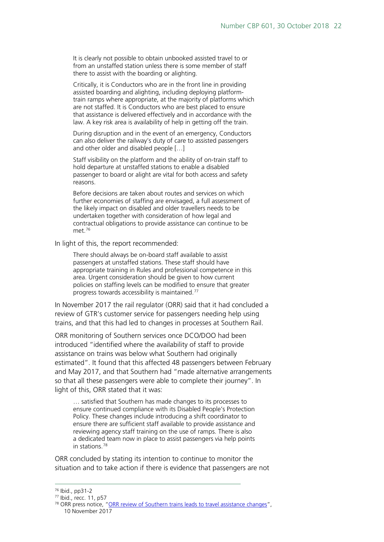It is clearly not possible to obtain unbooked assisted travel to or from an unstaffed station unless there is some member of staff there to assist with the boarding or alighting.

Critically, it is Conductors who are in the front line in providing assisted boarding and alighting, including deploying platformtrain ramps where appropriate, at the majority of platforms which are not staffed. It is Conductors who are best placed to ensure that assistance is delivered effectively and in accordance with the law. A key risk area is availability of help in getting off the train.

During disruption and in the event of an emergency, Conductors can also deliver the railway's duty of care to assisted passengers and other older and disabled people […]

Staff visibility on the platform and the ability of on-train staff to hold departure at unstaffed stations to enable a disabled passenger to board or alight are vital for both access and safety reasons.

Before decisions are taken about routes and services on which further economies of staffing are envisaged, a full assessment of the likely impact on disabled and older travellers needs to be undertaken together with consideration of how legal and contractual obligations to provide assistance can continue to be met<sup>[76](#page-21-0)</sup>

In light of this, the report recommended:

There should always be on-board staff available to assist passengers at unstaffed stations. These staff should have appropriate training in Rules and professional competence in this area. Urgent consideration should be given to how current policies on staffing levels can be modified to ensure that greater progress towards accessibility is maintained.[77](#page-21-1)

In November 2017 the rail regulator (ORR) said that it had concluded a review of GTR's customer service for passengers needing help using trains, and that this had led to changes in processes at Southern Rail.

ORR monitoring of Southern services once DCO/DOO had been introduced "identified where the availability of staff to provide assistance on trains was below what Southern had originally estimated". It found that this affected 48 passengers between February and May 2017, and that Southern had "made alternative arrangements so that all these passengers were able to complete their journey". In light of this, ORR stated that it was:

… satisfied that Southern has made changes to its processes to ensure continued compliance with its Disabled People's Protection Policy. These changes include introducing a shift coordinator to ensure there are sufficient staff available to provide assistance and reviewing agency staff training on the use of ramps. There is also a dedicated team now in place to assist passengers via help points in stations.[78](#page-21-2)

ORR concluded by stating its intention to continue to monitor the situation and to take action if there is evidence that passengers are not

<span id="page-21-0"></span> <sup>76</sup> Ibid., pp31-2

<span id="page-21-1"></span><sup>77</sup> Ibid., recc. 11, p57

<span id="page-21-2"></span><sup>78</sup> ORR press notice, ["ORR review of Southern trains leads to travel assistance changes"](http://orr.gov.uk/news-and-media/press-releases/2017/orr-review-of-southern-trains-leads-to-travel-assistance-changes), 10 November 2017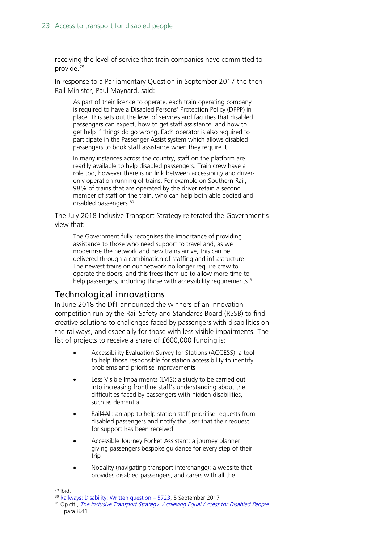receiving the level of service that train companies have committed to provide.[79](#page-22-1)

In response to a Parliamentary Question in September 2017 the then Rail Minister, Paul Maynard, said:

As part of their licence to operate, each train operating company is required to have a Disabled Persons' Protection Policy (DPPP) in place. This sets out the level of services and facilities that disabled passengers can expect, how to get staff assistance, and how to get help if things do go wrong. Each operator is also required to participate in the Passenger Assist system which allows disabled passengers to book staff assistance when they require it.

In many instances across the country, staff on the platform are readily available to help disabled passengers. Train crew have a role too, however there is no link between accessibility and driveronly operation running of trains. For example on Southern Rail, 98% of trains that are operated by the driver retain a second member of staff on the train, who can help both able bodied and disabled passengers.<sup>[80](#page-22-2)</sup>

The July 2018 Inclusive Transport Strategy reiterated the Government's view that:

The Government fully recognises the importance of providing assistance to those who need support to travel and, as we modernise the network and new trains arrive, this can be delivered through a combination of staffing and infrastructure. The newest trains on our network no longer require crew to operate the doors, and this frees them up to allow more time to help passengers, including those with accessibility requirements.<sup>[81](#page-22-3)</sup>

#### <span id="page-22-0"></span>Technological innovations

In June 2018 the DfT announced the winners of an innovation competition run by the Rail Safety and Standards Board (RSSB) to find creative solutions to challenges faced by passengers with disabilities on the railways, and especially for those with less visible impairments. The list of projects to receive a share of £600,000 funding is:

- Accessibility Evaluation Survey for Stations (ACCESS): a tool to help those responsible for station accessibility to identify problems and prioritise improvements
- Less Visible Impairments (LVIS): a study to be carried out into increasing frontline staff's understanding about the difficulties faced by passengers with hidden disabilities, such as dementia
- Rail4All: an app to help station staff prioritise requests from disabled passengers and notify the user that their request for support has been received
- Accessible Journey Pocket Assistant: a journey planner giving passengers bespoke guidance for every step of their trip
- Nodality (navigating transport interchange): a website that provides disabled passengers, and carers with all the

<span id="page-22-1"></span> <sup>79</sup> Ibid.

<sup>80</sup> [Railways: Disability: Written question –](http://www.parliament.uk/written-questions-answers-statements/written-question/commons/2017-07-18/5723) 5723, 5 September 2017

<span id="page-22-3"></span><span id="page-22-2"></span><sup>81</sup> Op cit., [The Inclusive Transport Strategy: Achieving Equal Access for Disabled People](https://assets.publishing.service.gov.uk/government/uploads/system/uploads/attachment_data/file/728547/inclusive-transport-strategy.pdf), para 8.41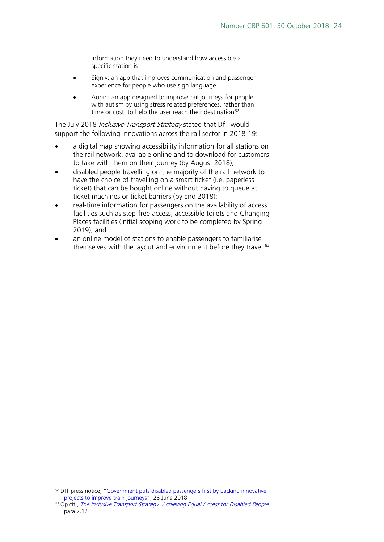information they need to understand how accessible a specific station is

- Signly: an app that improves communication and passenger experience for people who use sign language
- Aubin: an app designed to improve rail journeys for people with autism by using stress related preferences, rather than time or cost, to help the user reach their destination<sup>[82](#page-23-0)</sup>

The July 2018 *Inclusive Transport Strategy* stated that DfT would support the following innovations across the rail sector in 2018-19:

- a digital map showing accessibility information for all stations on the rail network, available online and to download for customers to take with them on their journey (by August 2018);
- disabled people travelling on the majority of the rail network to have the choice of travelling on a smart ticket (i.e. paperless ticket) that can be bought online without having to queue at ticket machines or ticket barriers (by end 2018);
- real-time information for passengers on the availability of access facilities such as step-free access, accessible toilets and Changing Places facilities (initial scoping work to be completed by Spring 2019); and
- an online model of stations to enable passengers to familiarise themselves with the layout and environment before they travel.<sup>[83](#page-23-1)</sup>

<span id="page-23-0"></span><sup>&</sup>lt;sup>82</sup> DfT press notice, "Government puts disabled passengers first by backing innovative [projects to improve train journeys"](https://www.gov.uk/government/news/government-puts-disabled-passengers-first-by-backing-innovative-projects-to-improve-train-journeys), 26 June 2018

<span id="page-23-1"></span><sup>83</sup> Op cit., [The Inclusive Transport Strategy: Achieving Equal Access for Disabled People](https://assets.publishing.service.gov.uk/government/uploads/system/uploads/attachment_data/file/728547/inclusive-transport-strategy.pdf), para 7.12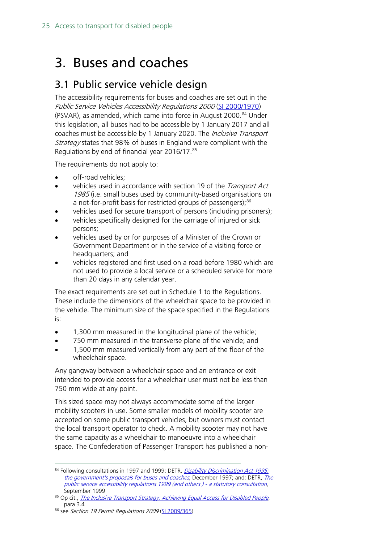## <span id="page-24-0"></span>3. Buses and coaches

### <span id="page-24-1"></span>3.1 Public service vehicle design

The accessibility requirements for buses and coaches are set out in the Public Service Vehicles Accessibility Regulations 2000 [\(SI 2000/1970\)](http://www.legislation.gov.uk/uksi/2000/1970/contents/made) (PSVAR), as amended, which came into force in August 2000.<sup>[84](#page-24-2)</sup> Under this legislation, all buses had to be accessible by 1 January 2017 and all coaches must be accessible by 1 January 2020. The *Inclusive Transport* Strategy states that 98% of buses in England were compliant with the Regulations by end of financial year 2016/17. [85](#page-24-3)

The requirements do not apply to:

- off-road vehicles;
- vehicles used in accordance with section 19 of the *Transport Act* 1985 (i.e. small buses used by community-based organisations on a not-for-profit basis for restricted groups of passengers);<sup>[86](#page-24-4)</sup>
- vehicles used for secure transport of persons (including prisoners);
- vehicles specifically designed for the carriage of injured or sick persons;
- vehicles used by or for purposes of a Minister of the Crown or Government Department or in the service of a visiting force or headquarters; and
- vehicles registered and first used on a road before 1980 which are not used to provide a local service or a scheduled service for more than 20 days in any calendar year.

The exact requirements are set out in Schedule 1 to the Regulations. These include the dimensions of the wheelchair space to be provided in the vehicle. The minimum size of the space specified in the Regulations is:

- 1,300 mm measured in the longitudinal plane of the vehicle;
- 750 mm measured in the transverse plane of the vehicle; and
- 1,500 mm measured vertically from any part of the floor of the wheelchair space.

Any gangway between a wheelchair space and an entrance or exit intended to provide access for a wheelchair user must not be less than 750 mm wide at any point.

This sized space may not always accommodate some of the larger mobility scooters in use. Some smaller models of mobility scooter are accepted on some public transport vehicles, but owners must contact the local transport operator to check. A mobility scooter may not have the same capacity as a wheelchair to manoeuvre into a wheelchair space. The Confederation of Passenger Transport has published a non-

<span id="page-24-2"></span><sup>84</sup> Following consultations in 1997 and 1999: DETR, Disability Discrimination Act 1995: [the government's proposals for buses and coaches](http://web.archive.org/web/19981201221553/www.mobility-unit.detr.gov.uk/dda95/buses/index.htm), December 1997; and: DETR, The [public service accessibility regulations 1999 \(and others \) -](http://web.archive.org/web/20000510042813/www.mobility-unit.detr.gov.uk/dda95/psv/index.htm) a statutory consultation, September 1999

<span id="page-24-3"></span><sup>85</sup> Op cit., *[The Inclusive Transport Strategy: Achieving Equal Access for Disabled People](https://assets.publishing.service.gov.uk/government/uploads/system/uploads/attachment_data/file/728547/inclusive-transport-strategy.pdf)*, para 3.4

<span id="page-24-4"></span><sup>86</sup> see Section 19 Permit Regulations 2009 [\(SI 2009/365\)](http://www.legislation.gov.uk/uksi/2009/365/contents/made)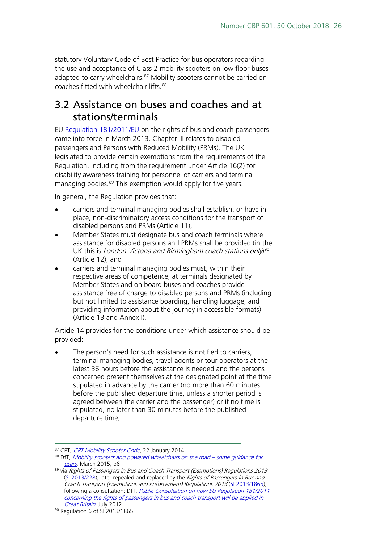statutory Voluntary Code of Best Practice for bus operators regarding the use and acceptance of Class 2 mobility scooters on low floor buses adapted to carry wheelchairs.<sup>[87](#page-25-1)</sup> Mobility scooters cannot be carried on coaches fitted with wheelchair lifts.<sup>[88](#page-25-2)</sup>

### <span id="page-25-0"></span>3.2 Assistance on buses and coaches and at stations/terminals

EU [Regulation 181/2011/EU](http://eur-lex.europa.eu/LexUriServ/LexUriServ.do?uri=OJ:L:2011:055:0001:0012:EN:PDF) on the rights of bus and coach passengers came into force in March 2013. Chapter III relates to disabled passengers and Persons with Reduced Mobility (PRMs). The UK legislated to provide certain exemptions from the requirements of the Regulation, including from the requirement under Article 16(2) for disability awareness training for personnel of carriers and terminal managing bodies.<sup>[89](#page-25-3)</sup> This exemption would apply for five years.

In general, the Regulation provides that:

- carriers and terminal managing bodies shall establish, or have in place, non-discriminatory access conditions for the transport of disabled persons and PRMs (Article 11);
- Member States must designate bus and coach terminals where assistance for disabled persons and PRMs shall be provided (in the UK this is *London Victoria and Birmingham coach stations only*)<sup>[90](#page-25-4)</sup> (Article 12); and
- carriers and terminal managing bodies must, within their respective areas of competence, at terminals designated by Member States and on board buses and coaches provide assistance free of charge to disabled persons and PRMs (including but not limited to assistance boarding, handling luggage, and providing information about the journey in accessible formats) (Article 13 and Annex I).

Article 14 provides for the conditions under which assistance should be provided:

The person's need for such assistance is notified to carriers, terminal managing bodies, travel agents or tour operators at the latest 36 hours before the assistance is needed and the persons concerned present themselves at the designated point at the time stipulated in advance by the carrier (no more than 60 minutes before the published departure time, unless a shorter period is agreed between the carrier and the passenger) or if no time is stipulated, no later than 30 minutes before the published departure time;

<span id="page-25-2"></span><span id="page-25-1"></span><sup>87</sup> CPT, [CPT Mobility Scooter Code](http://www.cpt-uk.org/index.php?fuseaction=newsevents.list_news&news_id=1057), 22 January 2014

<sup>88</sup> DfT, [Mobility scooters and powered wheelchairs on the road –](http://webarchive.nationalarchives.gov.uk/20160211105944/https:/www.gov.uk/government/uploads/system/uploads/attachment_data/file/411210/Mobility_Vehicle_Users_guidance.pdf) some quidance for [users](http://webarchive.nationalarchives.gov.uk/20160211105944/https:/www.gov.uk/government/uploads/system/uploads/attachment_data/file/411210/Mobility_Vehicle_Users_guidance.pdf), March 2015, p6

<span id="page-25-3"></span><sup>89</sup> via Rights of Passengers in Bus and Coach Transport (Exemptions) Regulations 2013 [\(SI 2013/228\);](http://www.legislation.gov.uk/uksi/2013/228/contents/made) later repealed and replaced by the Rights of Passengers in Bus and Coach Transport (Exemptions and Enforcement) Regulations 2013 [\(SI 2013/1865\)](http://www.legislation.gov.uk/uksi/2013/1865/contents/made); following a consultation: DfT, *Public Consultation on how EU Regulation 181/2011* [concerning the rights of passengers in bus and coach transport will be applied in](http://webarchive.nationalarchives.gov.uk/20121104205141/http:/assets.dft.gov.uk/consultations/dft-2012-19/consultation-document.pdf)  [Great Britain](http://webarchive.nationalarchives.gov.uk/20121104205141/http:/assets.dft.gov.uk/consultations/dft-2012-19/consultation-document.pdf), July 2012

<span id="page-25-4"></span><sup>90</sup> Regulation 6 of SI 2013/1865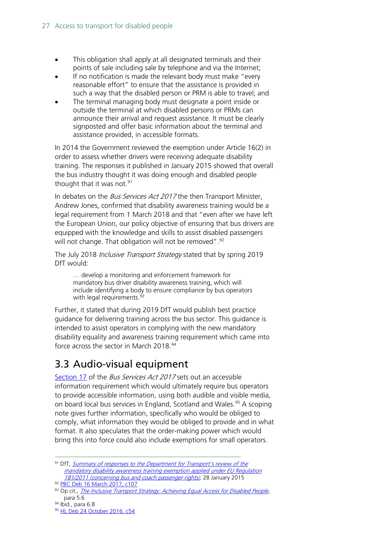- This obligation shall apply at all designated terminals and their points of sale including sale by telephone and via the Internet;
- If no notification is made the relevant body must make "every reasonable effort" to ensure that the assistance is provided in such a way that the disabled person or PRM is able to travel; and
- The terminal managing body must designate a point inside or outside the terminal at which disabled persons or PRMs can announce their arrival and request assistance. It must be clearly signposted and offer basic information about the terminal and assistance provided, in accessible formats.

In 2014 the Government reviewed the exemption under Article 16(2) in order to assess whether drivers were receiving adequate disability training. The responses it published in January 2015 showed that overall the bus industry thought it was doing enough and disabled people thought that it was not.<sup>[91](#page-26-1)</sup>

In debates on the *Bus Services Act 2017* the then Transport Minister, Andrew Jones, confirmed that disability awareness training would be a legal requirement from 1 March 2018 and that "even after we have left the European Union, our policy objective of ensuring that bus drivers are equipped with the knowledge and skills to assist disabled passengers will not change. That obligation will not be removed".<sup>[92](#page-26-2)</sup>

The July 2018 *Inclusive Transport Strategy* stated that by spring 2019 DfT would:

… develop a monitoring and enforcement framework for mandatory bus driver disability awareness training, which will include identifying a body to ensure compliance by bus operators with legal requirements.<sup>[93](#page-26-3)</sup>

Further, it stated that during 2019 DfT would publish best practice guidance for delivering training across the bus sector. This guidance is intended to assist operators in complying with the new mandatory disability equality and awareness training requirement which came into force across the sector in March 2018.<sup>[94](#page-26-4)</sup>

## <span id="page-26-0"></span>3.3 Audio-visual equipment

[Section 17](http://www.legislation.gov.uk/ukpga/2017/21/section/17/enacted) of the *Bus Services Act 2017* sets out an accessible information requirement which would ultimately require bus operators to provide accessible information, using both audible and visible media, on board local bus services in England, Scotland and Wales.<sup>[95](#page-26-5)</sup> A scoping note gives further information, specifically who would be obliged to comply, what information they would be obliged to provide and in what format. It also speculates that the order-making power which would bring this into force could also include exemptions for small operators.

<span id="page-26-1"></span><sup>91</sup> DfT, Summary of responses to the Department for Transport's review of the [mandatory disability awareness training exemption applied under EU Regulation](http://webarchive.nationalarchives.gov.uk/20160211110106/https:/www.gov.uk/government/uploads/system/uploads/attachment_data/file/398693/summary-responses-2a.pdf)  [181/2011 \(concerning bus and coach passenger rights\)](http://webarchive.nationalarchives.gov.uk/20160211110106/https:/www.gov.uk/government/uploads/system/uploads/attachment_data/file/398693/summary-responses-2a.pdf), 28 January 2015 <sup>92</sup> [PBC Deb 16 March 2017, c107](https://hansard.parliament.uk/commons/2017-03-16/debates/23c5a630-6f57-421f-bd1f-9b6f1afd1c99/BusServicesBill(Lords)(ThirdSitting))

<span id="page-26-3"></span><span id="page-26-2"></span><sup>93</sup> Op cit., *[The Inclusive Transport Strategy: Achieving Equal Access for Disabled People](https://assets.publishing.service.gov.uk/government/uploads/system/uploads/attachment_data/file/728547/inclusive-transport-strategy.pdf)*, para 5.6

<span id="page-26-5"></span><span id="page-26-4"></span><sup>94</sup> Ibid., para 6.8

<sup>95</sup> [HL Deb 24 October 2016, c54](https://hansard.parliament.uk/lords/2016-10-24/debates/32F2F236-053A-4153-92D5-D527AB8728F8/BusServicesBill(HL))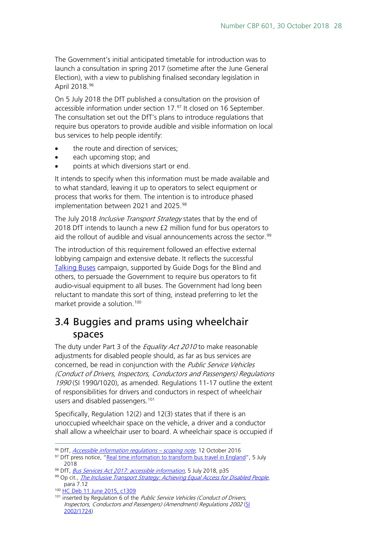The Government's initial anticipated timetable for introduction was to launch a consultation in spring 2017 (sometime after the June General Election), with a view to publishing finalised secondary legislation in April 2018.[96](#page-27-1)

On 5 July 2018 the DfT published a consultation on the provision of accessible information under section 17.<sup>[97](#page-27-2)</sup> It closed on 16 September. The consultation set out the DfT's plans to introduce regulations that require bus operators to provide audible and visible information on local bus services to help people identify:

- the route and direction of services;
- each upcoming stop; and
- points at which diversions start or end.

It intends to specify when this information must be made available and to what standard, leaving it up to operators to select equipment or process that works for them. The intention is to introduce phased implementation between 2021 and 2025.<sup>[98](#page-27-3)</sup>

The July 2018 *Inclusive Transport Strategy* states that by the end of 2018 DfT intends to launch a new £2 million fund for bus operators to aid the rollout of audible and visual announcements across the sector.<sup>[99](#page-27-4)</sup>

The introduction of this requirement followed an effective external lobbying campaign and extensive debate. It reflects the successful [Talking Buses](http://www.guidedogs.org.uk/supportus/campaigns/talkingbuses) campaign, supported by Guide Dogs for the Blind and others, to persuade the Government to require bus operators to fit audio-visual equipment to all buses. The Government had long been reluctant to mandate this sort of thing, instead preferring to let the market provide a solution.<sup>[100](#page-27-5)</sup>

### <span id="page-27-0"></span>3.4 Buggies and prams using wheelchair spaces

The duty under Part 3 of the *Equality Act 2010* to make reasonable adjustments for disabled people should, as far as bus services are concerned, be read in conjunction with the *Public Service Vehicles* (Conduct of Drivers, Inspectors, Conductors and Passengers) Regulations 1990 (SI 1990/1020), as amended. Regulations 11-17 outline the extent of responsibilities for drivers and conductors in respect of wheelchair users and disabled passengers. [101](#page-27-6)

Specifically, Regulation 12(2) and 12(3) states that if there is an unoccupied wheelchair space on the vehicle, a driver and a conductor shall allow a wheelchair user to board. A wheelchair space is occupied if

<span id="page-27-1"></span><sup>96</sup> DfT, *Accessible information regulations - scoping note*, 12 October 2016

<span id="page-27-2"></span><sup>97</sup> DfT press notice, ["Real time information to transform bus travel in England"](https://www.gov.uk/government/news/real-time-information-to-transform-bus-travel-in-england), 5 July 2018

<span id="page-27-4"></span><span id="page-27-3"></span><sup>98</sup> DfT, *[Bus Services Act 2017: accessible information](https://www.gov.uk/government/consultations/bus-services-act-2017-accessible-information)*, 5 July 2018, p35

<sup>99</sup> Op cit., *[The Inclusive Transport Strategy: Achieving Equal Access for Disabled People](https://assets.publishing.service.gov.uk/government/uploads/system/uploads/attachment_data/file/728547/inclusive-transport-strategy.pdf)*, para 7.12

<span id="page-27-5"></span><sup>100</sup> [HC Deb 11 June 2015, c1309](http://www.publications.parliament.uk/pa/cm201516/cmhansrd/cm150611/debtext/150611-0001.htm#15061141000026)

<span id="page-27-6"></span><sup>&</sup>lt;sup>101</sup> inserted by Regulation 6 of the *Public Service Vehicles (Conduct of Drivers,* Inspectors, Conductors and Passengers) (Amendment) Regulations 2002 [\(SI](http://www.legislation.gov.uk/uksi/2002/1724/regulation/6/made)  [2002/1724\)](http://www.legislation.gov.uk/uksi/2002/1724/regulation/6/made)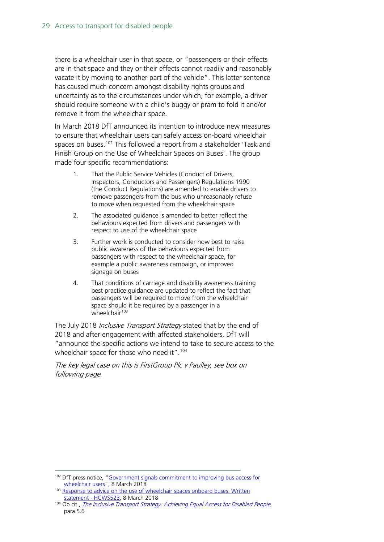there is a wheelchair user in that space, or "passengers or their effects are in that space and they or their effects cannot readily and reasonably vacate it by moving to another part of the vehicle". This latter sentence has caused much concern amongst disability rights groups and uncertainty as to the circumstances under which, for example, a driver should require someone with a child's buggy or pram to fold it and/or remove it from the wheelchair space.

In March 2018 DfT announced its intention to introduce new measures to ensure that wheelchair users can safely access on-board wheelchair spaces on buses.<sup>[102](#page-28-0)</sup> This followed a report from a stakeholder 'Task and Finish Group on the Use of Wheelchair Spaces on Buses'. The group made four specific recommendations:

- 1. That the Public Service Vehicles (Conduct of Drivers, Inspectors, Conductors and Passengers) Regulations 1990 (the Conduct Regulations) are amended to enable drivers to remove passengers from the bus who unreasonably refuse to move when requested from the wheelchair space
- 2. The associated guidance is amended to better reflect the behaviours expected from drivers and passengers with respect to use of the wheelchair space
- 3. Further work is conducted to consider how best to raise public awareness of the behaviours expected from passengers with respect to the wheelchair space, for example a public awareness campaign, or improved signage on buses
- 4. That conditions of carriage and disability awareness training best practice guidance are updated to reflect the fact that passengers will be required to move from the wheelchair space should it be required by a passenger in a  $w$ heelchair<sup>[103](#page-28-1)</sup>

The July 2018 *Inclusive Transport Strategy* stated that by the end of 2018 and after engagement with affected stakeholders, DfT will "announce the specific actions we intend to take to secure access to the wheelchair space for those who need it".<sup>[104](#page-28-2)</sup>

The key legal case on this is FirstGroup Plc v Paulley, see box on following page.

<span id="page-28-0"></span><sup>&</sup>lt;sup>102</sup> DfT press notice, "Government signals commitment to improving bus access for [wheelchair users"](https://www.gov.uk/government/news/government-signals-commitment-to-improving-bus-access-for-wheelchair-users), 8 March 2018

<span id="page-28-1"></span><sup>&</sup>lt;sup>103</sup> Response to advice on the use of wheelchair spaces onboard buses: Written [statement -](https://www.parliament.uk/business/publications/written-questions-answers-statements/written-statement/Commons/2018-03-08/HCWS523/) HCWS523, 8 March 2018

<span id="page-28-2"></span><sup>&</sup>lt;sup>104</sup> Op cit., [The Inclusive Transport Strategy: Achieving Equal Access for Disabled People](https://assets.publishing.service.gov.uk/government/uploads/system/uploads/attachment_data/file/728547/inclusive-transport-strategy.pdf), para 5.6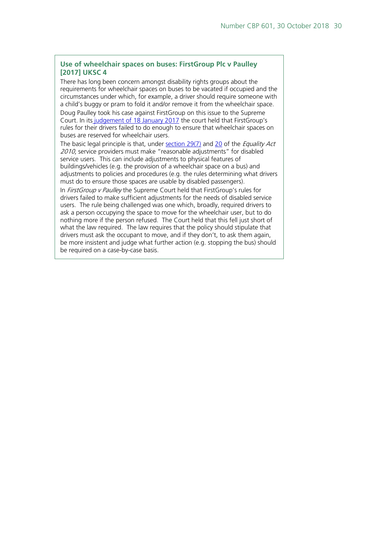#### **Use of wheelchair spaces on buses: FirstGroup Plc v Paulley [2017] UKSC 4**

There has long been concern amongst disability rights groups about the requirements for wheelchair spaces on buses to be vacated if occupied and the circumstances under which, for example, a driver should require someone with a child's buggy or pram to fold it and/or remove it from the wheelchair space. Doug Paulley took his case against FirstGroup on this issue to the Supreme Court. In its [judgement of 18 January 2017](http://www.bailii.org/uk/cases/UKSC/2017/4.html) the court held that FirstGroup's rules for their drivers failed to do enough to ensure that wheelchair spaces on buses are reserved for wheelchair users.

The basic legal principle is that, under [section 29\(7\)](http://www.legislation.gov.uk/ukpga/2010/15/section/29) and [20](http://www.legislation.gov.uk/ukpga/2010/15/section/20) of the *Equality Act* 2010, service providers must make "reasonable adjustments" for disabled service users. This can include adjustments to physical features of buildings/vehicles (e.g. the provision of a wheelchair space on a bus) and adjustments to policies and procedures (e.g. the rules determining what drivers must do to ensure those spaces are usable by disabled passengers).

In FirstGroup v Paulley the Supreme Court held that FirstGroup's rules for drivers failed to make sufficient adjustments for the needs of disabled service users. The rule being challenged was one which, broadly, required drivers to ask a person occupying the space to move for the wheelchair user, but to do nothing more if the person refused. The Court held that this fell just short of what the law required. The law requires that the policy should stipulate that drivers must ask the occupant to move, and if they don't, to ask them again, be more insistent and judge what further action (e.g. stopping the bus) should be required on a case-by-case basis.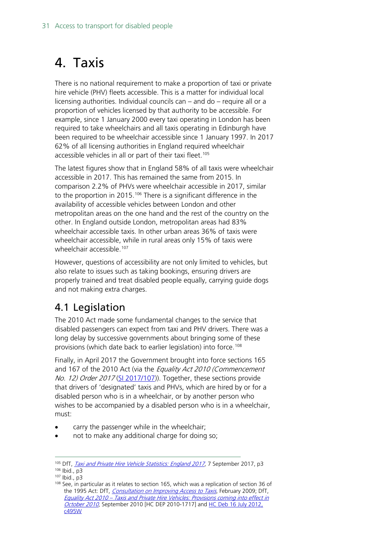## <span id="page-30-0"></span>4. Taxis

There is no national requirement to make a proportion of taxi or private hire vehicle (PHV) fleets accessible. This is a matter for individual local licensing authorities. Individual councils can – and do – require all or a proportion of vehicles licensed by that authority to be accessible. For example, since 1 January 2000 every taxi operating in London has been required to take wheelchairs and all taxis operating in Edinburgh have been required to be wheelchair accessible since 1 January 1997. In 2017 62% of all licensing authorities in England required wheelchair accessible vehicles in all or part of their taxi fleet.<sup>[105](#page-30-2)</sup>

The latest figures show that in England 58% of all taxis were wheelchair accessible in 2017. This has remained the same from 2015. In comparison 2.2% of PHVs were wheelchair accessible in 2017, similar to the proportion in 2015.<sup>[106](#page-30-3)</sup> There is a significant difference in the availability of accessible vehicles between London and other metropolitan areas on the one hand and the rest of the country on the other. In England outside London, metropolitan areas had 83% wheelchair accessible taxis. In other urban areas 36% of taxis were wheelchair accessible, while in rural areas only 15% of taxis were wheelchair accessible.<sup>[107](#page-30-4)</sup>

However, questions of accessibility are not only limited to vehicles, but also relate to issues such as taking bookings, ensuring drivers are properly trained and treat disabled people equally, carrying guide dogs and not making extra charges.

## <span id="page-30-1"></span>4.1 Legislation

The 2010 Act made some fundamental changes to the service that disabled passengers can expect from taxi and PHV drivers. There was a long delay by successive governments about bringing some of these provisions (which date back to earlier legislation) into force.<sup>[108](#page-30-5)</sup>

Finally, in April 2017 the Government brought into force sections 165 and 167 of the 2010 Act (via the Equality Act 2010 (Commencement No. 12) Order 2017 [\(SI 2017/107\)](http://www.legislation.gov.uk/uksi/2017/107/note/made)). Together, these sections provide that drivers of 'designated' taxis and PHVs, which are hired by or for a disabled person who is in a wheelchair, or by another person who wishes to be accompanied by a disabled person who is in a wheelchair, must:

- carry the passenger while in the wheelchair;
- not to make any additional charge for doing so;

<span id="page-30-2"></span><sup>&</sup>lt;sup>105</sup> DfT, *[Taxi and Private Hire Vehicle Statistics: England 2017](http://webarchive.nationalarchives.gov.uk/20171012160449/https:/www.gov.uk/government/uploads/system/uploads/attachment_data/file/642759/taxi-private-hire-vehicles-2017.pdf)*, 7 September 2017, p3

<span id="page-30-4"></span><span id="page-30-3"></span><sup>106</sup> Ibid., p3

<sup>107</sup> Ibid., p3

<span id="page-30-5"></span> $108$  See, in particular as it relates to section 165, which was a replication of section 36 of the 1995 Act: DfT, [Consultation on Improving Access to Taxis](http://webarchive.nationalarchives.gov.uk/20100104171434/http:/www.dft.gov.uk/consultations/closed/consulttaxis/consulttaxitaggedpdf.pdf), February 2009; DfT, Equality Act 2010 – [Taxis and Private Hire Vehicles: Provisions coming into effect in](http://data.parliament.uk/DepositedPapers/Files/DEP2010-1717/DEP2010-1717.zip)  [October 2010](http://data.parliament.uk/DepositedPapers/Files/DEP2010-1717/DEP2010-1717.zip), September 2010 [HC DEP 2010-1717] and [HC Deb 16 July 2012,](http://www.publications.parliament.uk/pa/cm201213/cmhansrd/cm120716/text/120716w0002.htm#12071628000139)  [c495W](http://www.publications.parliament.uk/pa/cm201213/cmhansrd/cm120716/text/120716w0002.htm#12071628000139)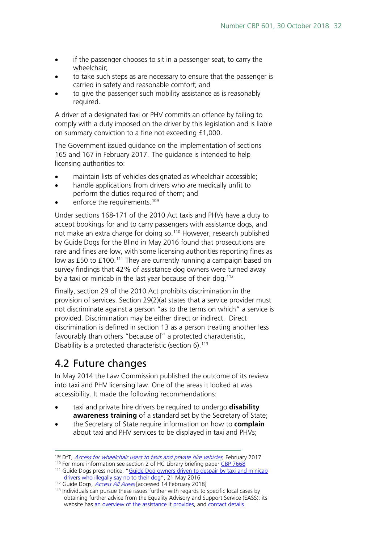- if the passenger chooses to sit in a passenger seat, to carry the wheelchair;
- to take such steps as are necessary to ensure that the passenger is carried in safety and reasonable comfort; and
- to give the passenger such mobility assistance as is reasonably required.

A driver of a designated taxi or PHV commits an offence by failing to comply with a duty imposed on the driver by this legislation and is liable on summary conviction to a fine not exceeding £1,000.

The Government issued guidance on the implementation of sections 165 and 167 in February 2017. The guidance is intended to help licensing authorities to:

- maintain lists of vehicles designated as wheelchair accessible;
- handle applications from drivers who are medically unfit to perform the duties required of them; and
- enforce the requirements.<sup>[109](#page-31-1)</sup>

Under sections 168-171 of the 2010 Act taxis and PHVs have a duty to accept bookings for and to carry passengers with assistance dogs, and not make an extra charge for doing so.<sup>[110](#page-31-2)</sup> However, research published by Guide Dogs for the Blind in May 2016 found that prosecutions are rare and fines are low, with some licensing authorities reporting fines as low as £50 to £100.<sup>[111](#page-31-3)</sup> They are currently running a campaign based on survey findings that 42% of assistance dog owners were turned away by a taxi or minicab in the last year because of their dog.<sup>[112](#page-31-4)</sup>

Finally, section 29 of the 2010 Act prohibits discrimination in the provision of services. Section 29(2)(a) states that a service provider must not discriminate against a person "as to the terms on which" a service is provided. Discrimination may be either direct or indirect. Direct discrimination is defined in section 13 as a person treating another less favourably than others "because of" a protected characteristic. Disability is a protected characteristic (section 6).<sup>[113](#page-31-5)</sup>

## <span id="page-31-0"></span>4.2 Future changes

In May 2014 the Law Commission published the outcome of its review into taxi and PHV licensing law. One of the areas it looked at was accessibility. It made the following recommendations:

- taxi and private hire drivers be required to undergo **disability awareness training** of a standard set by the Secretary of State;
- the Secretary of State require information on how to **complain** about taxi and PHV services to be displayed in taxi and PHVs;

<span id="page-31-1"></span><sup>&</sup>lt;sup>109</sup> DfT, *[Access for wheelchair users to taxis and private hire vehicles](http://webarchive.nationalarchives.gov.uk/20171110163846/https:/www.gov.uk/government/publications/access-for-wheelchair-users-to-taxis-and-private-hire-vehicles)*. February 2017

<span id="page-31-3"></span><span id="page-31-2"></span><sup>&</sup>lt;sup>110</sup> For more information see section 2 of HC Library briefing pape[r CBP 7668](http://researchbriefings.parliament.uk/ResearchBriefing/Summary/CBP-7668)

<sup>&</sup>lt;sup>111</sup> Guide Dogs press notice, "Guide Dog owners driven to despair by taxi and minicab [drivers who illegally say no to their dog"](https://www.guidedogs.org.uk/news/2016/may/guide-dog-owners-driven-to-despair-by-taxi-and-minicab-drivers-who-illegally-say-no-to-their-dog#.V6stOlsrLIU), 21 May 2016

<span id="page-31-4"></span><sup>112</sup> Guide Dogs, *[Access All Areas](https://e-activist.com/page/17619/petition/1)* [accessed 14 February 2018]

<span id="page-31-5"></span><sup>&</sup>lt;sup>113</sup> Individuals can pursue these issues further with regards to specific local cases by obtaining further advice from the Equality Advisory and Support Service (EASS): its website has [an overview of the assistance it provides,](https://www.equalityadvisoryservice.com/app/about) and [contact details](https://www.equalityadvisoryservice.com/app/ask)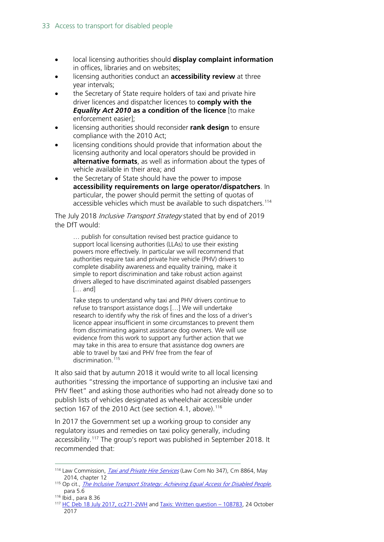- local licensing authorities should **display complaint information** in offices, libraries and on websites;
- licensing authorities conduct an **accessibility review** at three year intervals;
- the Secretary of State require holders of taxi and private hire driver licences and dispatcher licences to **comply with the**  *Equality Act 2010* **as a condition of the licence** [to make] enforcement easier];
- licensing authorities should reconsider **rank design** to ensure compliance with the 2010 Act;
- licensing conditions should provide that information about the licensing authority and local operators should be provided in **alternative formats**, as well as information about the types of vehicle available in their area; and
- the Secretary of State should have the power to impose **accessibility requirements on large operator/dispatchers**. In particular, the power should permit the setting of quotas of accessible vehicles which must be available to such dispatchers.<sup>[114](#page-32-0)</sup>

The July 2018 *Inclusive Transport Strategy* stated that by end of 2019 the DfT would:

… publish for consultation revised best practice guidance to support local licensing authorities (LLAs) to use their existing powers more effectively. In particular we will recommend that authorities require taxi and private hire vehicle (PHV) drivers to complete disability awareness and equality training, make it simple to report discrimination and take robust action against drivers alleged to have discriminated against disabled passengers [… and]

Take steps to understand why taxi and PHV drivers continue to refuse to transport assistance dogs […] We will undertake research to identify why the risk of fines and the loss of a driver's licence appear insufficient in some circumstances to prevent them from discriminating against assistance dog owners. We will use evidence from this work to support any further action that we may take in this area to ensure that assistance dog owners are able to travel by taxi and PHV free from the fear of discrimination<sup>[115](#page-32-1)</sup>

It also said that by autumn 2018 it would write to all local licensing authorities "stressing the importance of supporting an inclusive taxi and PHV fleet" and asking those authorities who had not already done so to publish lists of vehicles designated as wheelchair accessible under section 167 of the 2010 Act (see section 4.1, above).<sup>[116](#page-32-2)</sup>

In 2017 the Government set up a working group to consider any regulatory issues and remedies on taxi policy generally, including accessibility. [117](#page-32-3) The group's report was published in September 2018. It recommended that:

<span id="page-32-0"></span><sup>&</sup>lt;sup>114</sup> Law Commission, *[Taxi and Private Hire Services](http://web.archive.org/web/20150723125743/http:/www.lawcom.gov.uk/wp-content/uploads/2015/03/lc347_taxi-and-private-hire-services.pdf)* (Law Com No 347), Cm 8864, May 2014, chapter 12

<span id="page-32-1"></span><sup>&</sup>lt;sup>115</sup> Op cit., *[The Inclusive Transport Strategy: Achieving Equal Access for Disabled People](https://assets.publishing.service.gov.uk/government/uploads/system/uploads/attachment_data/file/728547/inclusive-transport-strategy.pdf)*, para 5.6

<span id="page-32-2"></span><sup>116</sup> Ibid., para 8.36

<span id="page-32-3"></span><sup>117</sup> [HC Deb 18 July 2017, cc271-2WH](https://hansard.parliament.uk/Commons/2017-07-18/debates/CD611C60-C265-423C-85AE-C7545AC26FD4/TaxiTrade) and [Taxis: Written question –](http://www.parliament.uk/business/publications/written-questions-answers-statements/written-question/Commons/2017-10-19/108783) 108783, 24 October 2017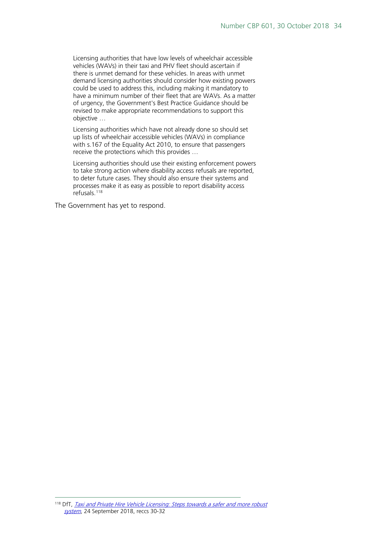Licensing authorities that have low levels of wheelchair accessible vehicles (WAVs) in their taxi and PHV fleet should ascertain if there is unmet demand for these vehicles. In areas with unmet demand licensing authorities should consider how existing powers could be used to address this, including making it mandatory to have a minimum number of their fleet that are WAVs. As a matter of urgency, the Government's Best Practice Guidance should be revised to make appropriate recommendations to support this objective …

Licensing authorities which have not already done so should set up lists of wheelchair accessible vehicles (WAVs) in compliance with s.167 of the Equality Act 2010, to ensure that passengers receive the protections which this provides …

Licensing authorities should use their existing enforcement powers to take strong action where disability access refusals are reported, to deter future cases. They should also ensure their systems and processes make it as easy as possible to report disability access refusals.[118](#page-33-0)

The Government has yet to respond.

<span id="page-33-0"></span><sup>&</sup>lt;sup>118</sup> DfT. Taxi and Private Hire Vehicle Licensing: Steps towards a safer and more robust [system](https://assets.publishing.service.gov.uk/government/uploads/system/uploads/attachment_data/file/745516/taxi-and-phv-working-group-report.pdf), 24 September 2018, reccs 30-32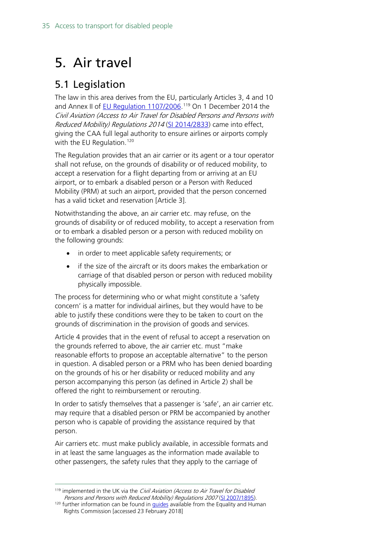## <span id="page-34-0"></span>5. Air travel

## <span id="page-34-1"></span>5.1 Legislation

The law in this area derives from the EU, particularly Articles 3, 4 and 10 and Annex II of [EU Regulation 1107/2006.](http://eur-lex.europa.eu/legal-content/EN/TXT/PDF/?uri=CELEX:32006R1107&from=EN)<sup>[119](#page-34-2)</sup> On 1 December 2014 the Civil Aviation (Access to Air Travel for Disabled Persons and Persons with Reduced Mobility) Regulations 2014 [\(SI 2014/2833\)](http://www.legislation.gov.uk/uksi/2014/2833/contents/made) came into effect, giving the CAA full legal authority to ensure airlines or airports comply with the EU Regulation.<sup>[120](#page-34-3)</sup>

The Regulation provides that an air carrier or its agent or a tour operator shall not refuse, on the grounds of disability or of reduced mobility, to accept a reservation for a flight departing from or arriving at an EU airport, or to embark a disabled person or a Person with Reduced Mobility (PRM) at such an airport, provided that the person concerned has a valid ticket and reservation [Article 3].

Notwithstanding the above, an air carrier etc. may refuse, on the grounds of disability or of reduced mobility, to accept a reservation from or to embark a disabled person or a person with reduced mobility on the following grounds:

- in order to meet applicable safety requirements; or
- if the size of the aircraft or its doors makes the embarkation or carriage of that disabled person or person with reduced mobility physically impossible.

The process for determining who or what might constitute a 'safety concern' is a matter for individual airlines, but they would have to be able to justify these conditions were they to be taken to court on the grounds of discrimination in the provision of goods and services.

Article 4 provides that in the event of refusal to accept a reservation on the grounds referred to above, the air carrier etc. must "make reasonable efforts to propose an acceptable alternative" to the person in question. A disabled person or a PRM who has been denied boarding on the grounds of his or her disability or reduced mobility and any person accompanying this person (as defined in Article 2) shall be offered the right to reimbursement or rerouting.

In order to satisfy themselves that a passenger is 'safe', an air carrier etc. may require that a disabled person or PRM be accompanied by another person who is capable of providing the assistance required by that person.

Air carriers etc. must make publicly available, in accessible formats and in at least the same languages as the information made available to other passengers, the safety rules that they apply to the carriage of

<span id="page-34-2"></span> $119$  implemented in the UK via the Civil Aviation (Access to Air Travel for Disabled Persons and Persons with Reduced Mobility) Regulations 2007 [\(SI 2007/1895\)](http://www.legislation.gov.uk/uksi/2007/1895/contents/made).

<span id="page-34-3"></span> $120$  further information can be found in *quides* available from the Equality and Human Rights Commission [accessed 23 February 2018]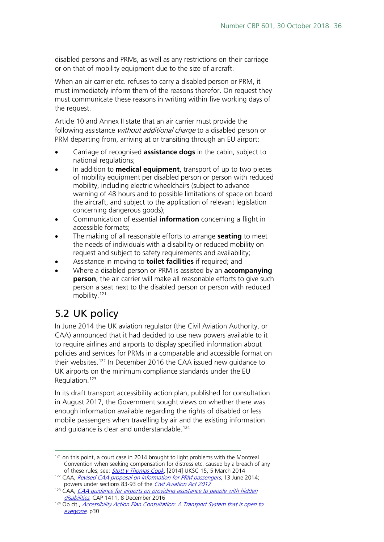disabled persons and PRMs, as well as any restrictions on their carriage or on that of mobility equipment due to the size of aircraft.

When an air carrier etc. refuses to carry a disabled person or PRM, it must immediately inform them of the reasons therefor. On request they must communicate these reasons in writing within five working days of the request.

Article 10 and Annex II state that an air carrier must provide the following assistance *without additional charge* to a disabled person or PRM departing from, arriving at or transiting through an EU airport:

- Carriage of recognised **assistance dogs** in the cabin, subject to national regulations;
- In addition to **medical equipment**, transport of up to two pieces of mobility equipment per disabled person or person with reduced mobility, including electric wheelchairs (subject to advance warning of 48 hours and to possible limitations of space on board the aircraft, and subject to the application of relevant legislation concerning dangerous goods);
- Communication of essential **information** concerning a flight in accessible formats;
- The making of all reasonable efforts to arrange **seating** to meet the needs of individuals with a disability or reduced mobility on request and subject to safety requirements and availability;
- Assistance in moving to **toilet facilities** if required; and
- Where a disabled person or PRM is assisted by an **accompanying person**, the air carrier will make all reasonable efforts to give such person a seat next to the disabled person or person with reduced mobility.<sup>[121](#page-35-1)</sup>

## <span id="page-35-0"></span>5.2 UK policy

In June 2014 the UK aviation regulator (the Civil Aviation Authority, or CAA) announced that it had decided to use new powers available to it to require airlines and airports to display specified information about policies and services for PRMs in a comparable and accessible format on their websites.<sup>[122](#page-35-2)</sup> In December 2016 the CAA issued new quidance to UK airports on the minimum compliance standards under the EU Regulation.[123](#page-35-3)

In its draft transport accessibility action plan, published for consultation in August 2017, the Government sought views on whether there was enough information available regarding the rights of disabled or less mobile passengers when travelling by air and the existing information and guidance is clear and understandable. [124](#page-35-4)

<span id="page-35-1"></span> $121$  on this point, a court case in 2014 brought to light problems with the Montreal Convention when seeking compensation for distress etc. caused by a breach of any of these rules; see: **[Stott v Thomas Cook](http://www.equalityhumanrights.com/sites/default/files/uploads/documents/UKSC_2012_0109_Judgment.pdf)**, [2014] UKSC 15, 5 March 2014

<span id="page-35-2"></span><sup>&</sup>lt;sup>122</sup> CAA, *[Revised CAA proposal on information for PRM passengers](http://webarchive.nationalarchives.gov.uk/20151118195544/http:/www.caa.co.uk/default.aspx?catid=1350&pagetype=90&pageid=16044)*, 13 June 2014; powers under sections 83-93 of the [Civil Aviation Act 2012](http://www.legislation.gov.uk/ukpga/2012/19/contents/enacted)

<span id="page-35-3"></span><sup>&</sup>lt;sup>123</sup> CAA, *CAA guidance for airports on providing assistance to people with hidden* [disabilities](https://publicapps.caa.co.uk/docs/33/CAP%201411%20DEC16.pdf), CAP 1411, 8 December 2016

<span id="page-35-4"></span><sup>&</sup>lt;sup>124</sup> Op cit., [Accessibility Action Plan Consultation:](https://www.gov.uk/government/consultations/draft-transport-accessibility-action-plan) A Transport System that is open to [everyone](https://www.gov.uk/government/consultations/draft-transport-accessibility-action-plan), p30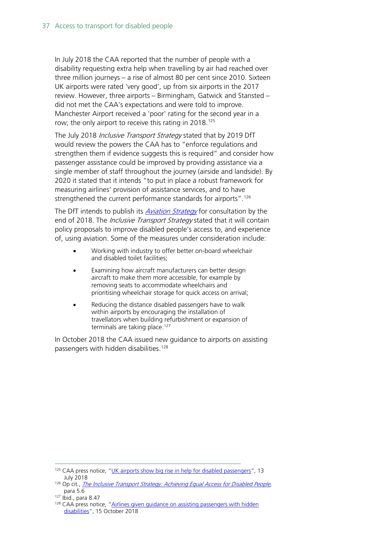In July 2018 the CAA reported that the number of people with a disability requesting extra help when travelling by air had reached over three million journeys – a rise of almost 80 per cent since 2010. Sixteen UK airports were rated 'very good', up from six airports in the 2017 review. However, three airports – Birmingham, Gatwick and Stansted – did not met the CAA's expectations and were told to improve. Manchester Airport received a 'poor' rating for the second year in a row; the only airport to receive this rating in 2018.<sup>[125](#page-36-0)</sup>

The July 2018 Inclusive Transport Strategy stated that by 2019 DfT would review the powers the CAA has to "enforce regulations and strengthen them if evidence suggests this is required" and consider how passenger assistance could be improved by providing assistance via a single member of staff throughout the journey (airside and landside). By 2020 it stated that it intends "to put in place a robust framework for measuring airlines' provision of assistance services, and to have strengthened the current performance standards for airports".<sup>[126](#page-36-1)</sup>

The DfT intends to publish its *[Aviation Strategy](https://assets.publishing.service.gov.uk/government/uploads/system/uploads/attachment_data/file/698247/next-steps-towards-an-aviation-strategy.pdf#page=86)* for consultation by the end of 2018. The *Inclusive Transport Strategy* stated that it will contain policy proposals to improve disabled people's access to, and experience of, using aviation. Some of the measures under consideration include:

- Working with industry to offer better on-board wheelchair and disabled toilet facilities;
- Examining how aircraft manufacturers can better design aircraft to make them more accessible, for example by removing seats to accommodate wheelchairs and prioritising wheelchair storage for quick access on arrival;
- Reducing the distance disabled passengers have to walk within airports by encouraging the installation of travellators when building refurbishment or expansion of terminals are taking place.<sup>127</sup>

In October 2018 the CAA issued new guidance to airports on assisting passengers with hidden disabilities. [128](#page-36-3)

<span id="page-36-0"></span><sup>&</sup>lt;sup>125</sup> CAA press notice, ["UK airports show big rise in help for disabled passengers"](https://www.caa.co.uk/News/UK-airports-show-big-rise-in-help-for-disabled-passengers/), 13 July 2018

<span id="page-36-1"></span><sup>&</sup>lt;sup>126</sup> Op cit., *[The Inclusive Transport Strategy: Achieving Equal Access for Disabled People](https://assets.publishing.service.gov.uk/government/uploads/system/uploads/attachment_data/file/728547/inclusive-transport-strategy.pdf)*, para 5.6

<span id="page-36-2"></span><sup>127</sup> Ibid., para 8.47

<span id="page-36-3"></span><sup>&</sup>lt;sup>128</sup> CAA press notice, "Airlines given guidance on assisting passengers with hidden [disabilities"](https://www.caa.co.uk/News/Airlines-given-guidance-on-assisting-passengers-with-hidden-disabilities/), 15 October 2018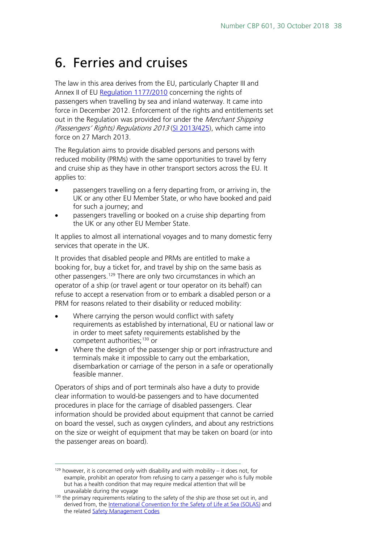## <span id="page-37-0"></span>6. Ferries and cruises

The law in this area derives from the EU, particularly Chapter III and Annex II of EU [Regulation 1177/2010](http://eur-lex.europa.eu/LexUriServ/LexUriServ.do?uri=OJ:L:2010:334:0001:0016:EN:PDF) concerning the rights of passengers when travelling by sea and inland waterway. It came into force in December 2012. Enforcement of the rights and entitlements set out in the Regulation was provided for under the *Merchant Shipping* (Passengers' Rights) Regulations 2013 [\(SI 2013/425\)](http://www.legislation.gov.uk/uksi/2013/425/contents/made), which came into force on 27 March 2013.

The Regulation aims to provide disabled persons and persons with reduced mobility (PRMs) with the same opportunities to travel by ferry and cruise ship as they have in other transport sectors across the EU. It applies to:

- passengers travelling on a ferry departing from, or arriving in, the UK or any other EU Member State, or who have booked and paid for such a journey; and
- passengers travelling or booked on a cruise ship departing from the UK or any other EU Member State.

It applies to almost all international voyages and to many domestic ferry services that operate in the UK.

It provides that disabled people and PRMs are entitled to make a booking for, buy a ticket for, and travel by ship on the same basis as other passengers.[129](#page-37-1) There are only two circumstances in which an operator of a ship (or travel agent or tour operator on its behalf) can refuse to accept a reservation from or to embark a disabled person or a PRM for reasons related to their disability or reduced mobility:

- Where carrying the person would conflict with safety requirements as established by international, EU or national law or in order to meet safety requirements established by the competent authorities;<sup>[130](#page-37-2)</sup> or
- Where the design of the passenger ship or port infrastructure and terminals make it impossible to carry out the embarkation, disembarkation or carriage of the person in a safe or operationally feasible manner.

Operators of ships and of port terminals also have a duty to provide clear information to would-be passengers and to have documented procedures in place for the carriage of disabled passengers. Clear information should be provided about equipment that cannot be carried on board the vessel, such as oxygen cylinders, and about any restrictions on the size or weight of equipment that may be taken on board (or into the passenger areas on board).

<span id="page-37-1"></span> $129$  however, it is concerned only with disability and with mobility – it does not, for example, prohibit an operator from refusing to carry a passenger who is fully mobile but has a health condition that may require medical attention that will be unavailable during the voyage

<span id="page-37-2"></span><sup>130</sup> the primary requirements relating to the safety of the ship are those set out in, and derived from, the [International Convention for the Safety of Life at Sea \(SOLAS\)](http://www.imo.org/en/About/Conventions/ListOfConventions/Pages/International-Convention-for-the-Safety-of-Life-at-Sea-(SOLAS),-1974.aspx) and the related [Safety Management Codes](http://www.imo.org/en/OurWork/HumanElement/SafetyManagement/Pages/ISMCode.aspx)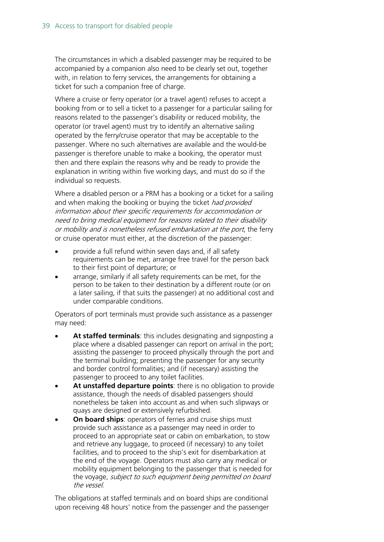The circumstances in which a disabled passenger may be required to be accompanied by a companion also need to be clearly set out, together with, in relation to ferry services, the arrangements for obtaining a ticket for such a companion free of charge.

Where a cruise or ferry operator (or a travel agent) refuses to accept a booking from or to sell a ticket to a passenger for a particular sailing for reasons related to the passenger's disability or reduced mobility, the operator (or travel agent) must try to identify an alternative sailing operated by the ferry/cruise operator that may be acceptable to the passenger. Where no such alternatives are available and the would-be passenger is therefore unable to make a booking, the operator must then and there explain the reasons why and be ready to provide the explanation in writing within five working days, and must do so if the individual so requests.

Where a disabled person or a PRM has a booking or a ticket for a sailing and when making the booking or buying the ticket *had provided* information about their specific requirements for accommodation or need to bring medical equipment for reasons related to their disability or mobility and is nonetheless refused embarkation at the port, the ferry or cruise operator must either, at the discretion of the passenger:

- provide a full refund within seven days and, if all safety requirements can be met, arrange free travel for the person back to their first point of departure; or
- arrange, similarly if all safety requirements can be met, for the person to be taken to their destination by a different route (or on a later sailing, if that suits the passenger) at no additional cost and under comparable conditions.

Operators of port terminals must provide such assistance as a passenger may need:

- **At staffed terminals**: this includes designating and signposting a place where a disabled passenger can report on arrival in the port; assisting the passenger to proceed physically through the port and the terminal building; presenting the passenger for any security and border control formalities; and (if necessary) assisting the passenger to proceed to any toilet facilities.
- At unstaffed departure points: there is no obligation to provide assistance, though the needs of disabled passengers should nonetheless be taken into account as and when such slipways or quays are designed or extensively refurbished.
- **On board ships:** operators of ferries and cruise ships must provide such assistance as a passenger may need in order to proceed to an appropriate seat or cabin on embarkation, to stow and retrieve any luggage, to proceed (if necessary) to any toilet facilities, and to proceed to the ship's exit for disembarkation at the end of the voyage. Operators must also carry any medical or mobility equipment belonging to the passenger that is needed for the voyage, *subject to such equipment being permitted on board* the vessel.

The obligations at staffed terminals and on board ships are conditional upon receiving 48 hours' notice from the passenger and the passenger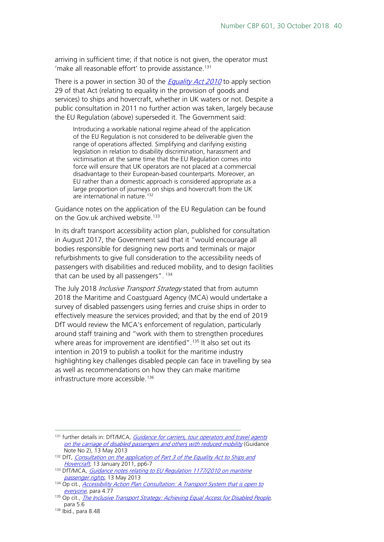arriving in sufficient time; if that notice is not given, the operator must 'make all reasonable effort' to provide assistance.<sup>[131](#page-39-0)</sup>

There is a power in section 30 of the *[Equality Act 2010](http://www.legislation.gov.uk/ukpga/2010/15/contents)* to apply section 29 of that Act (relating to equality in the provision of goods and services) to ships and hovercraft, whether in UK waters or not. Despite a public consultation in 2011 no further action was taken, largely because the EU Regulation (above) superseded it. The Government said:

Introducing a workable national regime ahead of the application of the EU Regulation is not considered to be deliverable given the range of operations affected. Simplifying and clarifying existing legislation in relation to disability discrimination, harassment and victimisation at the same time that the EU Regulation comes into force will ensure that UK operators are not placed at a commercial disadvantage to their European-based counterparts. Moreover, an EU rather than a domestic approach is considered appropriate as a large proportion of journeys on ships and hovercraft from the UK are international in nature. [132](#page-39-1)

Guidance notes on the application of the EU Regulation can be found on the Gov.uk archived website.<sup>[133](#page-39-2)</sup>

In its draft transport accessibility action plan, published for consultation in August 2017, the Government said that it "would encourage all bodies responsible for designing new ports and terminals or major refurbishments to give full consideration to the accessibility needs of passengers with disabilities and reduced mobility, and to design facilities that can be used by all passengers". [134](#page-39-3)

The July 2018 *Inclusive Transport Strategy* stated that from autumn 2018 the Maritime and Coastguard Agency (MCA) would undertake a survey of disabled passengers using ferries and cruise ships in order to effectively measure the services provided; and that by the end of 2019 DfT would review the MCA's enforcement of regulation, particularly around staff training and "work with them to strengthen procedures where areas for improvement are identified".<sup>[135](#page-39-4)</sup> It also set out its intention in 2019 to publish a toolkit for the maritime industry highlighting key challenges disabled people can face in travelling by sea as well as recommendations on how they can make maritime infrastructure more accessible. [136](#page-39-5)

<span id="page-39-0"></span><sup>&</sup>lt;sup>131</sup> further details in: DfT/MCA, *Guidance for carriers, tour operators and travel agents* [on the carriage of disabled passengers and others with reduced mobility](http://webarchive.nationalarchives.gov.uk/20151204191532/https:/www.gov.uk/government/uploads/system/uploads/attachment_data/file/194789/draft-guidance-note-2.pdf) (Guidance Note No 2), 13 May 2013

<span id="page-39-1"></span><sup>&</sup>lt;sup>132</sup> DfT, *Consultation on the application of Part 3 of the Equality Act to Ships and* [Hovercraft](http://webarchive.nationalarchives.gov.uk/20151212164014/https:/www.gov.uk/government/uploads/system/uploads/attachment_data/file/2433/consultation.pdf), 13 January 2011, pp6-7

<span id="page-39-2"></span><sup>133</sup> DfT/MCA, Guidance notes relating to EU Regulation 1177/2010 on maritime [passenger rights](http://webarchive.nationalarchives.gov.uk/20151204191532/https:/www.gov.uk/government/publications/draft-guidance-notes-relating-to-regulation-eu-no-1177-2010), 13 May 2013

<span id="page-39-3"></span><sup>&</sup>lt;sup>134</sup> Op cit., *[Accessibility Action Plan Consultation:](https://www.gov.uk/government/consultations/draft-transport-accessibility-action-plan) A Transport System that is open to* [everyone](https://www.gov.uk/government/consultations/draft-transport-accessibility-action-plan), para 4.77

<span id="page-39-4"></span><sup>&</sup>lt;sup>135</sup> Op cit., *[The Inclusive Transport Strategy: Achieving Equal Access for Disabled People](https://assets.publishing.service.gov.uk/government/uploads/system/uploads/attachment_data/file/728547/inclusive-transport-strategy.pdf)*, para 5.6

<span id="page-39-5"></span><sup>136</sup> Ibid., para 8.48